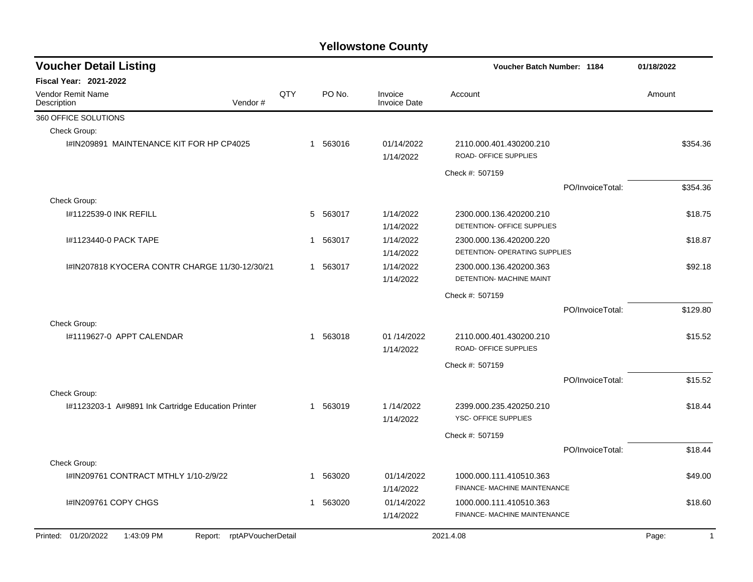| <b>Voucher Detail Listing</b>                                   |     |              |          |                                | Voucher Batch Number: 1184                               |                  | 01/18/2022            |
|-----------------------------------------------------------------|-----|--------------|----------|--------------------------------|----------------------------------------------------------|------------------|-----------------------|
| <b>Fiscal Year: 2021-2022</b>                                   |     |              |          |                                |                                                          |                  |                       |
| Vendor Remit Name<br>Description<br>Vendor#                     | QTY |              | PO No.   | Invoice<br><b>Invoice Date</b> | Account                                                  |                  | Amount                |
| 360 OFFICE SOLUTIONS                                            |     |              |          |                                |                                                          |                  |                       |
| Check Group:                                                    |     |              |          |                                |                                                          |                  |                       |
| I#IN209891 MAINTENANCE KIT FOR HP CP4025                        |     |              | 1 563016 | 01/14/2022<br>1/14/2022        | 2110.000.401.430200.210<br>ROAD- OFFICE SUPPLIES         |                  | \$354.36              |
|                                                                 |     |              |          |                                | Check #: 507159                                          |                  |                       |
|                                                                 |     |              |          |                                |                                                          | PO/InvoiceTotal: | \$354.36              |
| Check Group:                                                    |     |              |          |                                |                                                          |                  |                       |
| 1#1122539-0 INK REFILL                                          |     | 5            | 563017   | 1/14/2022<br>1/14/2022         | 2300.000.136.420200.210<br>DETENTION- OFFICE SUPPLIES    |                  | \$18.75               |
| I#1123440-0 PACK TAPE                                           |     | 1            | 563017   | 1/14/2022<br>1/14/2022         | 2300.000.136.420200.220<br>DETENTION- OPERATING SUPPLIES |                  | \$18.87               |
| 1#IN207818 KYOCERA CONTR CHARGE 11/30-12/30/21                  |     | $\mathbf{1}$ | 563017   | 1/14/2022<br>1/14/2022         | 2300.000.136.420200.363<br>DETENTION- MACHINE MAINT      |                  | \$92.18               |
|                                                                 |     |              |          |                                | Check #: 507159                                          |                  |                       |
|                                                                 |     |              |          |                                |                                                          | PO/InvoiceTotal: | \$129.80              |
| Check Group:                                                    |     |              |          |                                |                                                          |                  |                       |
| I#1119627-0 APPT CALENDAR                                       |     | $\mathbf{1}$ | 563018   | 01 /14/2022<br>1/14/2022       | 2110.000.401.430200.210<br>ROAD- OFFICE SUPPLIES         |                  | \$15.52               |
|                                                                 |     |              |          |                                | Check #: 507159                                          |                  |                       |
|                                                                 |     |              |          |                                |                                                          | PO/InvoiceTotal: | \$15.52               |
| Check Group:                                                    |     |              |          |                                |                                                          |                  |                       |
| I#1123203-1 A#9891 Ink Cartridge Education Printer              |     | $\mathbf{1}$ | 563019   | 1/14/2022<br>1/14/2022         | 2399.000.235.420250.210<br>YSC- OFFICE SUPPLIES          |                  | \$18.44               |
|                                                                 |     |              |          |                                | Check #: 507159                                          |                  |                       |
|                                                                 |     |              |          |                                |                                                          | PO/InvoiceTotal: | \$18.44               |
| Check Group:                                                    |     |              |          |                                |                                                          |                  |                       |
| I#IN209761 CONTRACT MTHLY 1/10-2/9/22                           |     | $\mathbf{1}$ | 563020   | 01/14/2022<br>1/14/2022        | 1000.000.111.410510.363<br>FINANCE- MACHINE MAINTENANCE  |                  | \$49.00               |
| I#IN209761 COPY CHGS                                            |     | 1            | 563020   | 01/14/2022<br>1/14/2022        | 1000.000.111.410510.363<br>FINANCE- MACHINE MAINTENANCE  |                  | \$18.60               |
| Printed: 01/20/2022<br>1:43:09 PM<br>Report: rptAPVoucherDetail |     |              |          |                                | 2021.4.08                                                |                  | Page:<br>$\mathbf{1}$ |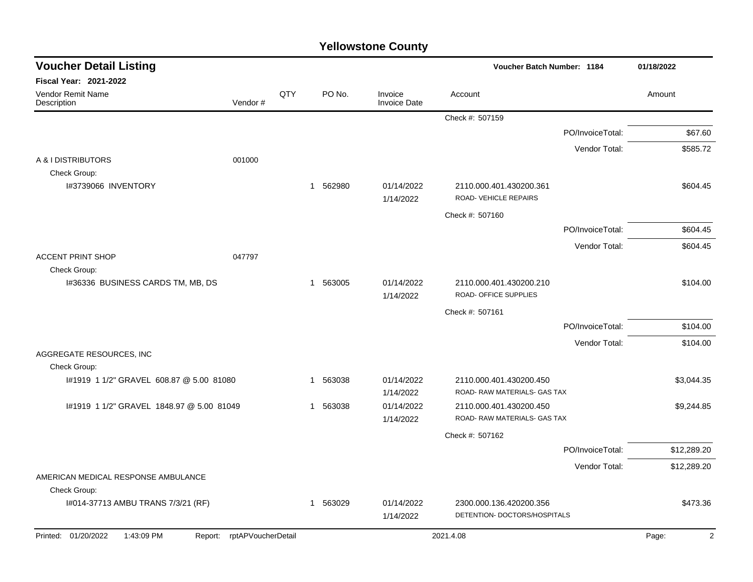| <b>Yellowstone County</b> |  |
|---------------------------|--|
|---------------------------|--|

| <b>Voucher Detail Listing</b>            |                            |     |                        |                                | Voucher Batch Number: 1184                              |                  | 01/18/2022              |
|------------------------------------------|----------------------------|-----|------------------------|--------------------------------|---------------------------------------------------------|------------------|-------------------------|
| <b>Fiscal Year: 2021-2022</b>            |                            |     |                        |                                |                                                         |                  |                         |
| <b>Vendor Remit Name</b><br>Description  | Vendor#                    | QTY | PO No.                 | Invoice<br><b>Invoice Date</b> | Account                                                 |                  | Amount                  |
|                                          |                            |     |                        |                                | Check #: 507159                                         |                  |                         |
|                                          |                            |     |                        |                                |                                                         | PO/InvoiceTotal: | \$67.60                 |
|                                          |                            |     |                        |                                |                                                         | Vendor Total:    | \$585.72                |
| A & I DISTRIBUTORS                       | 001000                     |     |                        |                                |                                                         |                  |                         |
| Check Group:<br>I#3739066 INVENTORY      |                            |     | 1 562980               | 01/14/2022<br>1/14/2022        | 2110.000.401.430200.361<br><b>ROAD- VEHICLE REPAIRS</b> |                  | \$604.45                |
|                                          |                            |     |                        |                                | Check #: 507160                                         |                  |                         |
|                                          |                            |     |                        |                                |                                                         | PO/InvoiceTotal: | \$604.45                |
|                                          |                            |     |                        |                                |                                                         | Vendor Total:    | \$604.45                |
| <b>ACCENT PRINT SHOP</b><br>Check Group: | 047797                     |     |                        |                                |                                                         |                  |                         |
| I#36336 BUSINESS CARDS TM, MB, DS        |                            |     | 1 563005               | 01/14/2022<br>1/14/2022        | 2110.000.401.430200.210<br>ROAD- OFFICE SUPPLIES        |                  | \$104.00                |
|                                          |                            |     |                        |                                | Check #: 507161                                         |                  |                         |
|                                          |                            |     |                        |                                |                                                         | PO/InvoiceTotal: | \$104.00                |
|                                          |                            |     |                        |                                |                                                         | Vendor Total:    | \$104.00                |
| AGGREGATE RESOURCES, INC.                |                            |     |                        |                                |                                                         |                  |                         |
| Check Group:                             |                            |     |                        |                                |                                                         |                  |                         |
| #1919 1 1/2" GRAVEL 608.87 @ 5.00 81080  |                            |     | 563038<br>$\mathbf{1}$ | 01/14/2022<br>1/14/2022        | 2110.000.401.430200.450<br>ROAD-RAW MATERIALS- GAS TAX  |                  | \$3,044.35              |
| #1919 1 1/2" GRAVEL 1848.97 @ 5.00 81049 |                            |     | 563038<br>$\mathbf{1}$ | 01/14/2022<br>1/14/2022        | 2110.000.401.430200.450<br>ROAD-RAW MATERIALS- GAS TAX  |                  | \$9,244.85              |
|                                          |                            |     |                        |                                | Check #: 507162                                         |                  |                         |
|                                          |                            |     |                        |                                |                                                         | PO/InvoiceTotal: | \$12,289.20             |
|                                          |                            |     |                        |                                |                                                         | Vendor Total:    | \$12,289.20             |
| AMERICAN MEDICAL RESPONSE AMBULANCE      |                            |     |                        |                                |                                                         |                  |                         |
| Check Group:                             |                            |     |                        |                                |                                                         |                  |                         |
| I#014-37713 AMBU TRANS 7/3/21 (RF)       |                            |     | 563029<br>-1           | 01/14/2022<br>1/14/2022        | 2300.000.136.420200.356<br>DETENTION- DOCTORS/HOSPITALS |                  | \$473.36                |
| Printed: 01/20/2022<br>1:43:09 PM        | Report: rptAPVoucherDetail |     |                        |                                | 2021.4.08                                               |                  | $\overline{2}$<br>Page: |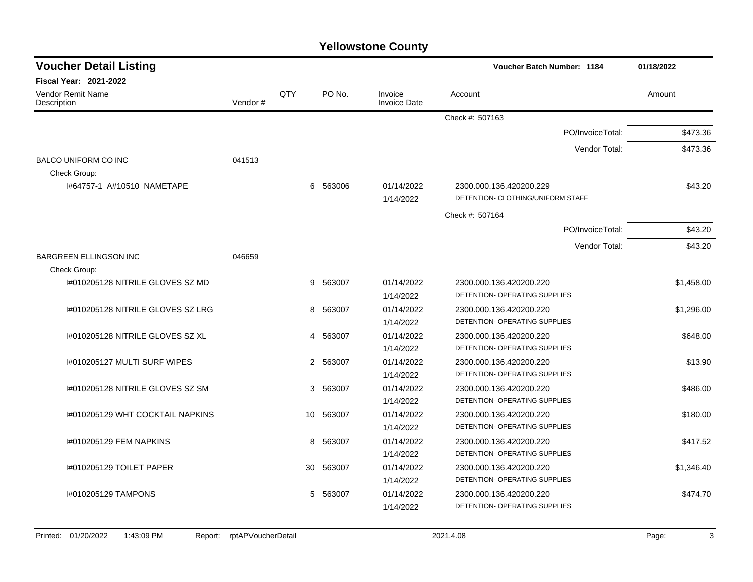| <b>Voucher Detail Listing</b>           |         |                |          |                                | <b>Voucher Batch Number: 1184</b>    | 01/18/2022 |
|-----------------------------------------|---------|----------------|----------|--------------------------------|--------------------------------------|------------|
| <b>Fiscal Year: 2021-2022</b>           |         |                |          |                                |                                      |            |
| <b>Vendor Remit Name</b><br>Description | Vendor# | QTY            | PO No.   | Invoice<br><b>Invoice Date</b> | Account                              | Amount     |
|                                         |         |                |          |                                | Check #: 507163                      |            |
|                                         |         |                |          |                                | PO/InvoiceTotal:                     | \$473.36   |
|                                         |         |                |          |                                | Vendor Total:                        | \$473.36   |
| <b>BALCO UNIFORM CO INC</b>             | 041513  |                |          |                                |                                      |            |
| Check Group:                            |         |                |          |                                |                                      |            |
| 1#64757-1 A#10510 NAMETAPE              |         |                | 6 563006 | 01/14/2022                     | 2300.000.136.420200.229              | \$43.20    |
|                                         |         |                |          | 1/14/2022                      | DETENTION- CLOTHING/UNIFORM STAFF    |            |
|                                         |         |                |          |                                | Check #: 507164                      |            |
|                                         |         |                |          |                                | PO/InvoiceTotal:                     | \$43.20    |
|                                         |         |                |          |                                | Vendor Total:                        | \$43.20    |
| <b>BARGREEN ELLINGSON INC</b>           | 046659  |                |          |                                |                                      |            |
| Check Group:                            |         |                |          |                                |                                      |            |
| 1#010205128 NITRILE GLOVES SZ MD        |         | 9              | 563007   | 01/14/2022                     | 2300.000.136.420200.220              | \$1,458.00 |
|                                         |         |                |          | 1/14/2022                      | DETENTION- OPERATING SUPPLIES        |            |
| I#010205128 NITRILE GLOVES SZ LRG       |         | 8              | 563007   | 01/14/2022                     | 2300.000.136.420200.220              | \$1,296.00 |
|                                         |         |                |          | 1/14/2022                      | DETENTION- OPERATING SUPPLIES        |            |
| 1#010205128 NITRILE GLOVES SZ XL        |         |                | 4 563007 | 01/14/2022                     | 2300.000.136.420200.220              | \$648.00   |
|                                         |         |                |          | 1/14/2022                      | DETENTION- OPERATING SUPPLIES        |            |
| #010205127 MULTI SURF WIPES             |         | $\overline{2}$ | 563007   | 01/14/2022                     | 2300.000.136.420200.220              | \$13.90    |
|                                         |         |                |          | 1/14/2022                      | DETENTION- OPERATING SUPPLIES        |            |
| 1#010205128 NITRILE GLOVES SZ SM        |         |                | 3 563007 | 01/14/2022                     | 2300.000.136.420200.220              | \$486.00   |
|                                         |         |                |          | 1/14/2022                      | <b>DETENTION- OPERATING SUPPLIES</b> |            |
| I#010205129 WHT COCKTAIL NAPKINS        |         | 10             | 563007   | 01/14/2022                     | 2300.000.136.420200.220              | \$180.00   |
|                                         |         |                |          | 1/14/2022                      | DETENTION- OPERATING SUPPLIES        |            |
| 1#010205129 FEM NAPKINS                 |         | 8              | 563007   | 01/14/2022                     | 2300.000.136.420200.220              | \$417.52   |
|                                         |         |                |          | 1/14/2022                      | DETENTION- OPERATING SUPPLIES        |            |
| 1#010205129 TOILET PAPER                |         | 30             | 563007   | 01/14/2022                     | 2300.000.136.420200.220              | \$1,346.40 |
|                                         |         |                |          | 1/14/2022                      | DETENTION- OPERATING SUPPLIES        |            |
| 1#010205129 TAMPONS                     |         | 5              | 563007   | 01/14/2022                     | 2300.000.136.420200.220              | \$474.70   |
|                                         |         |                |          | 1/14/2022                      | DETENTION- OPERATING SUPPLIES        |            |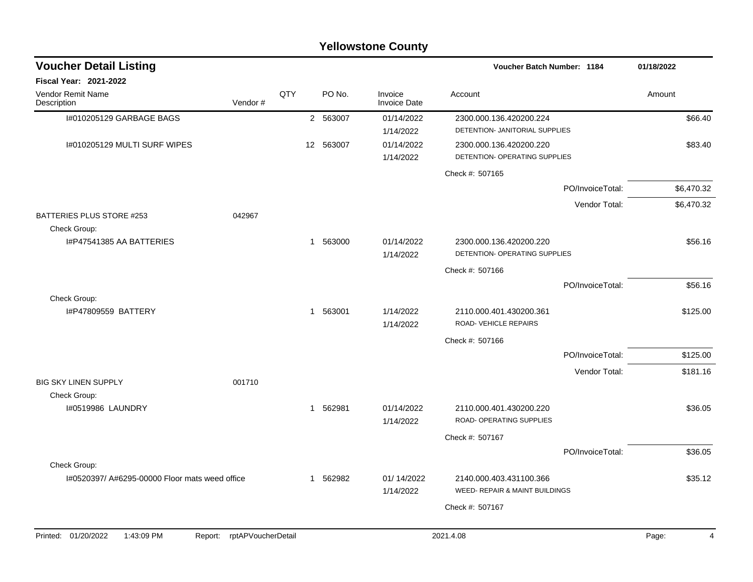|                                                |                            |     |                        | <b>Yellowstone County</b>      |                                                           |                  |            |
|------------------------------------------------|----------------------------|-----|------------------------|--------------------------------|-----------------------------------------------------------|------------------|------------|
| <b>Voucher Detail Listing</b>                  |                            |     |                        |                                | Voucher Batch Number: 1184                                |                  | 01/18/2022 |
| <b>Fiscal Year: 2021-2022</b>                  |                            |     |                        |                                |                                                           |                  |            |
| <b>Vendor Remit Name</b><br>Description        | Vendor#                    | QTY | PO No.                 | Invoice<br><b>Invoice Date</b> | Account                                                   |                  | Amount     |
| I#010205129 GARBAGE BAGS                       |                            |     | 2 563007               | 01/14/2022<br>1/14/2022        | 2300.000.136.420200.224<br>DETENTION- JANITORIAL SUPPLIES |                  | \$66.40    |
| 1#010205129 MULTI SURF WIPES                   |                            |     | 12 563007              | 01/14/2022<br>1/14/2022        | 2300.000.136.420200.220<br>DETENTION- OPERATING SUPPLIES  |                  | \$83.40    |
|                                                |                            |     |                        |                                | Check #: 507165                                           |                  |            |
|                                                |                            |     |                        |                                |                                                           | PO/InvoiceTotal: | \$6,470.32 |
| BATTERIES PLUS STORE #253                      | 042967                     |     |                        |                                |                                                           | Vendor Total:    | \$6,470.32 |
| Check Group:<br>I#P47541385 AA BATTERIES       |                            |     | 563000<br>$\mathbf{1}$ | 01/14/2022<br>1/14/2022        | 2300.000.136.420200.220<br>DETENTION- OPERATING SUPPLIES  |                  | \$56.16    |
|                                                |                            |     |                        |                                | Check #: 507166                                           |                  |            |
|                                                |                            |     |                        |                                |                                                           | PO/InvoiceTotal: | \$56.16    |
| Check Group:<br>I#P47809559 BATTERY            |                            |     | 1 563001               | 1/14/2022<br>1/14/2022         | 2110.000.401.430200.361<br>ROAD- VEHICLE REPAIRS          |                  | \$125.00   |
|                                                |                            |     |                        |                                | Check #: 507166                                           |                  |            |
|                                                |                            |     |                        |                                |                                                           | PO/InvoiceTotal: | \$125.00   |
|                                                |                            |     |                        |                                |                                                           | Vendor Total:    | \$181.16   |
| <b>BIG SKY LINEN SUPPLY</b>                    | 001710                     |     |                        |                                |                                                           |                  |            |
| Check Group:<br>1#0519986 LAUNDRY              |                            |     | 1 562981               | 01/14/2022<br>1/14/2022        | 2110.000.401.430200.220<br>ROAD- OPERATING SUPPLIES       |                  | \$36.05    |
|                                                |                            |     |                        |                                | Check #: 507167                                           |                  |            |
|                                                |                            |     |                        |                                |                                                           | PO/InvoiceTotal: | \$36.05    |
| Check Group:                                   |                            |     |                        |                                |                                                           |                  |            |
| I#0520397/ A#6295-00000 Floor mats weed office |                            |     | 1 562982               | 01/14/2022<br>1/14/2022        | 2140.000.403.431100.366<br>WEED- REPAIR & MAINT BUILDINGS |                  | \$35.12    |
|                                                |                            |     |                        |                                | Check #: 507167                                           |                  |            |
|                                                |                            |     |                        |                                |                                                           |                  |            |
| Printed: 01/20/2022<br>1:43:09 PM              | Report: rptAPVoucherDetail |     |                        |                                | 2021.4.08                                                 |                  | Page:<br>4 |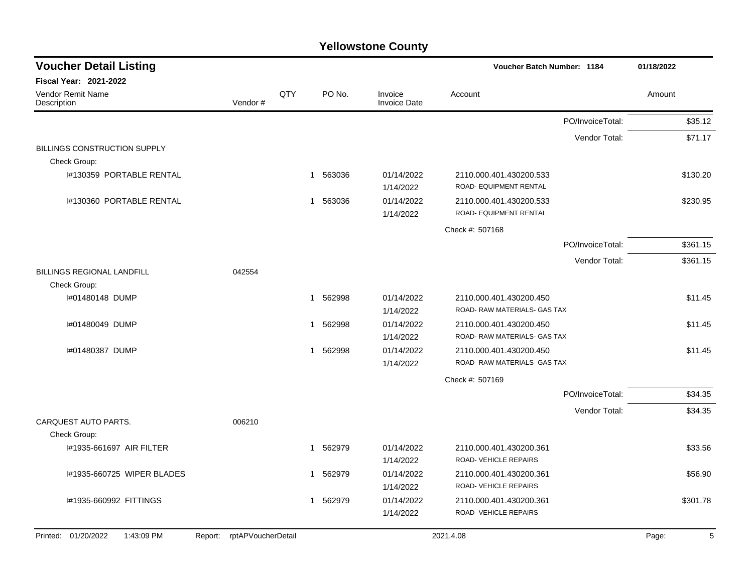| <b>Voucher Detail Listing</b>                                   |                |                       |                                | Voucher Batch Number: 1184                              |                  | 01/18/2022 |
|-----------------------------------------------------------------|----------------|-----------------------|--------------------------------|---------------------------------------------------------|------------------|------------|
| <b>Fiscal Year: 2021-2022</b>                                   |                |                       |                                |                                                         |                  |            |
| <b>Vendor Remit Name</b><br>Description                         | QTY<br>Vendor# | PO No.                | Invoice<br><b>Invoice Date</b> | Account                                                 |                  | Amount     |
|                                                                 |                |                       |                                |                                                         | PO/InvoiceTotal: | \$35.12    |
|                                                                 |                |                       |                                |                                                         | Vendor Total:    | \$71.17    |
| BILLINGS CONSTRUCTION SUPPLY<br>Check Group:                    |                |                       |                                |                                                         |                  |            |
| I#130359 PORTABLE RENTAL                                        |                | 1 563036              | 01/14/2022<br>1/14/2022        | 2110.000.401.430200.533<br>ROAD- EQUIPMENT RENTAL       |                  | \$130.20   |
| I#130360 PORTABLE RENTAL                                        |                | 1 563036              | 01/14/2022<br>1/14/2022        | 2110.000.401.430200.533<br>ROAD- EQUIPMENT RENTAL       |                  | \$230.95   |
|                                                                 |                |                       |                                | Check #: 507168                                         |                  |            |
|                                                                 |                |                       |                                |                                                         | PO/InvoiceTotal: | \$361.15   |
|                                                                 |                |                       |                                |                                                         | Vendor Total:    | \$361.15   |
| BILLINGS REGIONAL LANDFILL<br>042554<br>Check Group:            |                |                       |                                |                                                         |                  |            |
| I#01480148 DUMP                                                 |                | 1 562998              | 01/14/2022<br>1/14/2022        | 2110.000.401.430200.450<br>ROAD-RAW MATERIALS- GAS TAX  |                  | \$11.45    |
| I#01480049 DUMP                                                 |                | 562998<br>1           | 01/14/2022<br>1/14/2022        | 2110.000.401.430200.450<br>ROAD- RAW MATERIALS- GAS TAX |                  | \$11.45    |
| I#01480387 DUMP                                                 |                | 562998<br>$\mathbf 1$ | 01/14/2022<br>1/14/2022        | 2110.000.401.430200.450<br>ROAD-RAW MATERIALS- GAS TAX  |                  | \$11.45    |
|                                                                 |                |                       |                                | Check #: 507169                                         |                  |            |
|                                                                 |                |                       |                                |                                                         | PO/InvoiceTotal: | \$34.35    |
|                                                                 |                |                       |                                |                                                         | Vendor Total:    | \$34.35    |
| CARQUEST AUTO PARTS.<br>006210                                  |                |                       |                                |                                                         |                  |            |
| Check Group:                                                    |                |                       |                                |                                                         |                  |            |
| I#1935-661697 AIR FILTER                                        |                | 562979<br>1           | 01/14/2022<br>1/14/2022        | 2110.000.401.430200.361<br>ROAD-VEHICLE REPAIRS         |                  | \$33.56    |
| I#1935-660725 WIPER BLADES                                      |                | 562979<br>1           | 01/14/2022                     | 2110.000.401.430200.361                                 |                  | \$56.90    |
|                                                                 |                |                       | 1/14/2022                      | ROAD-VEHICLE REPAIRS                                    |                  |            |
| I#1935-660992 FITTINGS                                          |                | 562979<br>1           | 01/14/2022<br>1/14/2022        | 2110.000.401.430200.361<br>ROAD-VEHICLE REPAIRS         |                  | \$301.78   |
| Printed: 01/20/2022<br>1:43:09 PM<br>Report: rptAPVoucherDetail |                |                       |                                | 2021.4.08                                               |                  | 5<br>Page: |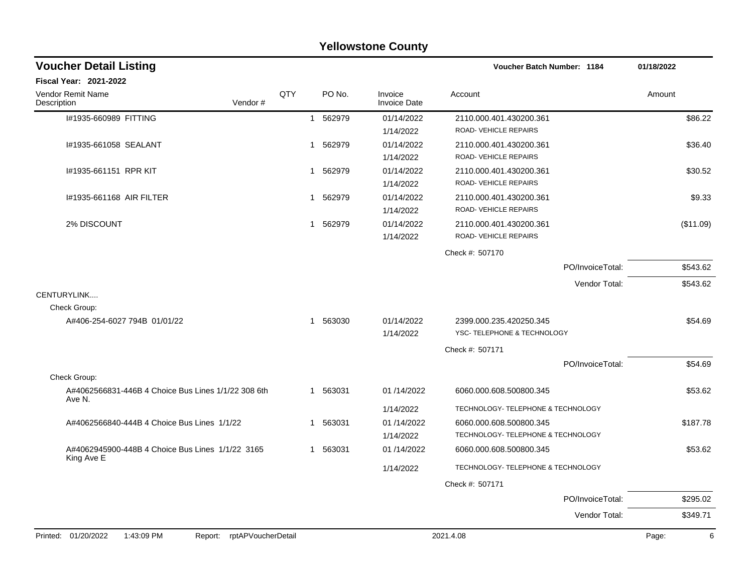|                                                                     |     |             | <b>Yellowstone County</b>      |                                                               |            |
|---------------------------------------------------------------------|-----|-------------|--------------------------------|---------------------------------------------------------------|------------|
| <b>Voucher Detail Listing</b>                                       |     |             |                                | Voucher Batch Number: 1184                                    | 01/18/2022 |
| Fiscal Year: 2021-2022                                              |     |             |                                |                                                               |            |
| Vendor Remit Name<br>Vendor#<br>Description                         | QTY | PO No.      | Invoice<br><b>Invoice Date</b> | Account                                                       | Amount     |
| I#1935-660989 FITTING                                               |     | 1 562979    | 01/14/2022<br>1/14/2022        | 2110.000.401.430200.361<br>ROAD-VEHICLE REPAIRS               | \$86.22    |
| I#1935-661058 SEALANT                                               |     | 1 562979    | 01/14/2022<br>1/14/2022        | 2110.000.401.430200.361<br>ROAD-VEHICLE REPAIRS               | \$36.40    |
| #1935-661151 RPR KIT                                                |     | 562979<br>1 | 01/14/2022<br>1/14/2022        | 2110.000.401.430200.361<br>ROAD-VEHICLE REPAIRS               | \$30.52    |
| I#1935-661168 AIR FILTER                                            |     | 1 562979    | 01/14/2022<br>1/14/2022        | 2110.000.401.430200.361<br>ROAD-VEHICLE REPAIRS               | \$9.33     |
| 2% DISCOUNT                                                         |     | 1 562979    | 01/14/2022<br>1/14/2022        | 2110.000.401.430200.361<br>ROAD-VEHICLE REPAIRS               | (\$11.09)  |
|                                                                     |     |             |                                | Check #: 507170                                               |            |
|                                                                     |     |             |                                | PO/InvoiceTotal:                                              | \$543.62   |
|                                                                     |     |             |                                | Vendor Total:                                                 | \$543.62   |
| CENTURYLINK<br>Check Group:                                         |     |             |                                |                                                               |            |
| A#406-254-6027 794B 01/01/22                                        |     | 1 563030    | 01/14/2022<br>1/14/2022        | 2399.000.235.420250.345<br>YSC-TELEPHONE & TECHNOLOGY         | \$54.69    |
|                                                                     |     |             |                                | Check #: 507171                                               |            |
|                                                                     |     |             |                                | PO/InvoiceTotal:                                              | \$54.69    |
| Check Group:<br>A#4062566831-446B 4 Choice Bus Lines 1/1/22 308 6th |     | 1 563031    | 01/14/2022                     | 6060.000.608.500800.345                                       | \$53.62    |
| Ave N.                                                              |     |             | 1/14/2022                      | TECHNOLOGY- TELEPHONE & TECHNOLOGY                            |            |
| A#4062566840-444B 4 Choice Bus Lines 1/1/22                         |     | 1 563031    | 01 /14/2022<br>1/14/2022       | 6060.000.608.500800.345<br>TECHNOLOGY- TELEPHONE & TECHNOLOGY | \$187.78   |
| A#4062945900-448B 4 Choice Bus Lines 1/1/22 3165                    |     | 563031<br>1 | 01 /14/2022                    | 6060.000.608.500800.345                                       | \$53.62    |
| King Ave E                                                          |     |             | 1/14/2022                      | TECHNOLOGY- TELEPHONE & TECHNOLOGY                            |            |
|                                                                     |     |             |                                | Check #: 507171                                               |            |
|                                                                     |     |             |                                | PO/InvoiceTotal:                                              | \$295.02   |
|                                                                     |     |             |                                | Vendor Total:                                                 | \$349.71   |
| Printed: 01/20/2022<br>1:43:09 PM<br>Report: rptAPVoucherDetail     |     |             |                                | 2021.4.08                                                     | Page:<br>6 |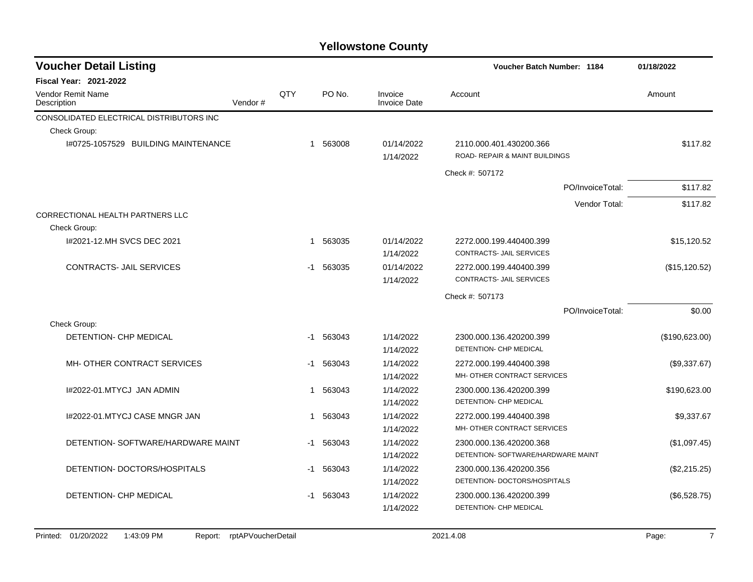| 01/18/2022     |
|----------------|
|                |
| Amount         |
|                |
|                |
| \$117.82       |
|                |
| \$117.82       |
| \$117.82       |
|                |
|                |
| \$15,120.52    |
|                |
| (\$15, 120.52) |
|                |
|                |
| \$0.00         |
|                |
| (\$190,623.00) |
|                |
| (\$9,337.67)   |
|                |
| \$190,623.00   |
|                |
| \$9.337.67     |
|                |
| (\$1,097.45)   |
|                |
| (\$2,215.25)   |
|                |
| (\$6,528.75)   |
|                |
|                |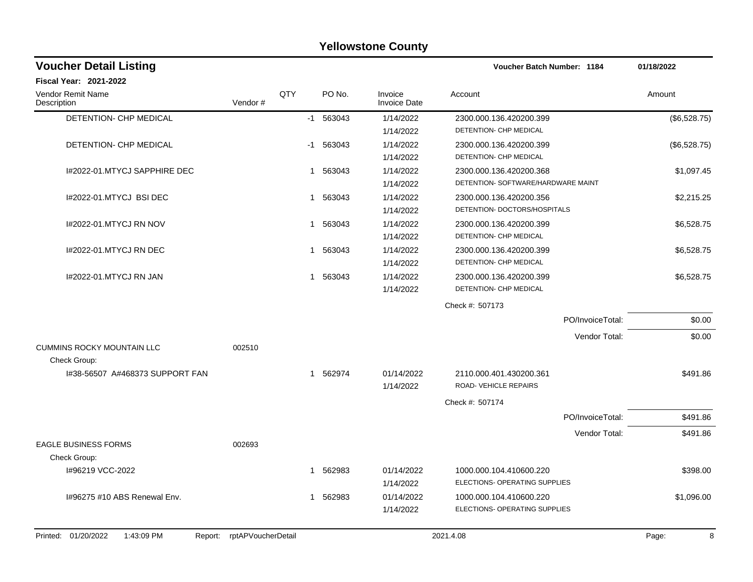|                                              |                    |             |             | <b>Yellowstone County</b>      |                                    |              |
|----------------------------------------------|--------------------|-------------|-------------|--------------------------------|------------------------------------|--------------|
| <b>Voucher Detail Listing</b>                |                    |             |             |                                | Voucher Batch Number: 1184         | 01/18/2022   |
| <b>Fiscal Year: 2021-2022</b>                |                    |             |             |                                |                                    |              |
| <b>Vendor Remit Name</b><br>Description      | Vendor#            | QTY         | PO No.      | Invoice<br><b>Invoice Date</b> | Account                            | Amount       |
| <b>DETENTION- CHP MEDICAL</b>                |                    |             | $-1$ 563043 | 1/14/2022                      | 2300.000.136.420200.399            | (\$6,528.75) |
|                                              |                    |             |             | 1/14/2022                      | DETENTION- CHP MEDICAL             |              |
| DETENTION- CHP MEDICAL                       |                    |             | $-1$ 563043 | 1/14/2022                      | 2300.000.136.420200.399            | (\$6,528.75) |
|                                              |                    |             |             | 1/14/2022                      | DETENTION- CHP MEDICAL             |              |
| I#2022-01.MTYCJ SAPPHIRE DEC                 |                    | -1          | 563043      | 1/14/2022                      | 2300.000.136.420200.368            | \$1,097.45   |
|                                              |                    |             |             | 1/14/2022                      | DETENTION- SOFTWARE/HARDWARE MAINT |              |
| I#2022-01.MTYCJ BSI DEC                      |                    | 1           | 563043      | 1/14/2022                      | 2300.000.136.420200.356            | \$2,215.25   |
|                                              |                    |             |             | 1/14/2022                      | DETENTION- DOCTORS/HOSPITALS       |              |
| 1#2022-01.MTYCJ RN NOV                       |                    |             | 1 563043    | 1/14/2022                      | 2300.000.136.420200.399            | \$6,528.75   |
|                                              |                    |             |             | 1/14/2022                      | DETENTION- CHP MEDICAL             |              |
| 1#2022-01.MTYCJ RN DEC                       |                    | 1           | 563043      | 1/14/2022                      | 2300.000.136.420200.399            | \$6,528.75   |
|                                              |                    |             |             | 1/14/2022                      | DETENTION- CHP MEDICAL             |              |
| 1#2022-01.MTYCJ RN JAN                       |                    | 1           | 563043      | 1/14/2022                      | 2300.000.136.420200.399            | \$6,528.75   |
|                                              |                    |             |             | 1/14/2022                      | DETENTION- CHP MEDICAL             |              |
|                                              |                    |             |             |                                | Check #: 507173                    |              |
|                                              |                    |             |             |                                | PO/InvoiceTotal:                   | \$0.00       |
|                                              |                    |             |             |                                | Vendor Total:                      | \$0.00       |
| <b>CUMMINS ROCKY MOUNTAIN LLC</b>            | 002510             |             |             |                                |                                    |              |
| Check Group:                                 |                    |             |             |                                |                                    |              |
| I#38-56507 A#468373 SUPPORT FAN              |                    | $\mathbf 1$ | 562974      | 01/14/2022                     | 2110.000.401.430200.361            | \$491.86     |
|                                              |                    |             |             | 1/14/2022                      | ROAD- VEHICLE REPAIRS              |              |
|                                              |                    |             |             |                                | Check #: 507174                    |              |
|                                              |                    |             |             |                                | PO/InvoiceTotal:                   | \$491.86     |
|                                              |                    |             |             |                                | Vendor Total:                      | \$491.86     |
| <b>EAGLE BUSINESS FORMS</b>                  | 002693             |             |             |                                |                                    |              |
| Check Group:                                 |                    |             |             |                                |                                    |              |
| I#96219 VCC-2022                             |                    |             | 1 562983    | 01/14/2022                     | 1000.000.104.410600.220            | \$398.00     |
|                                              |                    |             |             | 1/14/2022                      | ELECTIONS- OPERATING SUPPLIES      |              |
| I#96275 #10 ABS Renewal Env.                 |                    |             | 1 562983    | 01/14/2022                     | 1000.000.104.410600.220            | \$1,096.00   |
|                                              |                    |             |             | 1/14/2022                      | ELECTIONS- OPERATING SUPPLIES      |              |
|                                              |                    |             |             |                                |                                    |              |
| Printed: 01/20/2022<br>1:43:09 PM<br>Report: | rptAPVoucherDetail |             |             |                                | 2021.4.08                          | Page:<br>8   |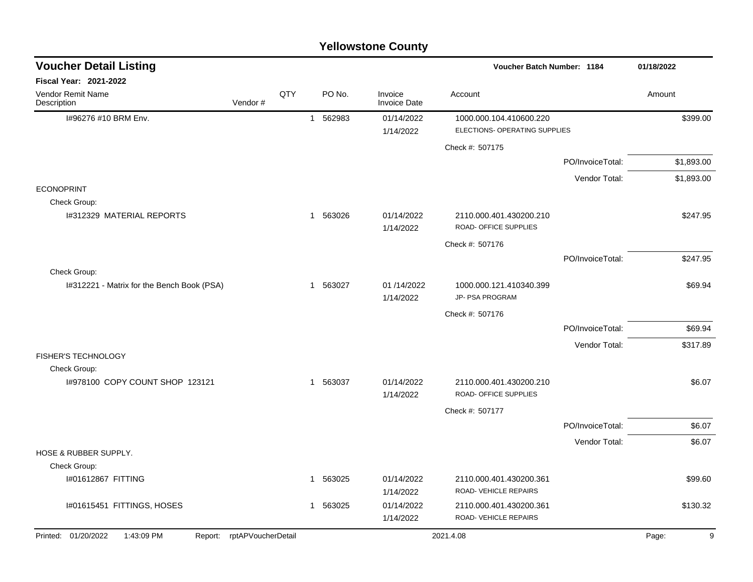|                                            |                            |     |              |          | <b>Yellowstone County</b>      |                                                  |                  |            |            |
|--------------------------------------------|----------------------------|-----|--------------|----------|--------------------------------|--------------------------------------------------|------------------|------------|------------|
| <b>Voucher Detail Listing</b>              |                            |     |              |          |                                | Voucher Batch Number: 1184                       |                  | 01/18/2022 |            |
| Fiscal Year: 2021-2022                     |                            |     |              |          |                                |                                                  |                  |            |            |
| Vendor Remit Name<br>Description           | Vendor#                    | QTY |              | PO No.   | Invoice<br><b>Invoice Date</b> | Account                                          |                  | Amount     |            |
| I#96276 #10 BRM Env.                       |                            |     | $\mathbf{1}$ | 562983   | 01/14/2022                     | 1000.000.104.410600.220                          |                  |            | \$399.00   |
|                                            |                            |     |              |          | 1/14/2022                      | ELECTIONS- OPERATING SUPPLIES                    |                  |            |            |
|                                            |                            |     |              |          |                                | Check #: 507175                                  |                  |            |            |
|                                            |                            |     |              |          |                                |                                                  | PO/InvoiceTotal: |            | \$1,893.00 |
|                                            |                            |     |              |          |                                |                                                  | Vendor Total:    |            | \$1,893.00 |
| <b>ECONOPRINT</b><br>Check Group:          |                            |     |              |          |                                |                                                  |                  |            |            |
| I#312329 MATERIAL REPORTS                  |                            |     |              | 1 563026 | 01/14/2022<br>1/14/2022        | 2110.000.401.430200.210<br>ROAD- OFFICE SUPPLIES |                  |            | \$247.95   |
|                                            |                            |     |              |          |                                | Check #: 507176                                  |                  |            |            |
|                                            |                            |     |              |          |                                |                                                  | PO/InvoiceTotal: |            | \$247.95   |
| Check Group:                               |                            |     |              |          |                                |                                                  |                  |            |            |
| I#312221 - Matrix for the Bench Book (PSA) |                            |     | -1           | 563027   | 01 /14/2022<br>1/14/2022       | 1000.000.121.410340.399<br>JP- PSA PROGRAM       |                  |            | \$69.94    |
|                                            |                            |     |              |          |                                | Check #: 507176                                  |                  |            |            |
|                                            |                            |     |              |          |                                |                                                  | PO/InvoiceTotal: |            | \$69.94    |
|                                            |                            |     |              |          |                                |                                                  | Vendor Total:    |            | \$317.89   |
| FISHER'S TECHNOLOGY<br>Check Group:        |                            |     |              |          |                                |                                                  |                  |            |            |
| 1#978100 COPY COUNT SHOP 123121            |                            |     | 1            | 563037   | 01/14/2022<br>1/14/2022        | 2110.000.401.430200.210<br>ROAD- OFFICE SUPPLIES |                  |            | \$6.07     |
|                                            |                            |     |              |          |                                | Check #: 507177                                  |                  |            |            |
|                                            |                            |     |              |          |                                |                                                  | PO/InvoiceTotal: |            | \$6.07     |
|                                            |                            |     |              |          |                                |                                                  | Vendor Total:    |            | \$6.07     |
| HOSE & RUBBER SUPPLY.                      |                            |     |              |          |                                |                                                  |                  |            |            |
| Check Group:                               |                            |     |              |          |                                |                                                  |                  |            |            |
| I#01612867 FITTING                         |                            |     |              | 1 563025 | 01/14/2022<br>1/14/2022        | 2110.000.401.430200.361<br>ROAD-VEHICLE REPAIRS  |                  |            | \$99.60    |
| I#01615451 FITTINGS, HOSES                 |                            |     |              | 1 563025 | 01/14/2022<br>1/14/2022        | 2110.000.401.430200.361<br>ROAD-VEHICLE REPAIRS  |                  |            | \$130.32   |
| Printed: 01/20/2022<br>1:43:09 PM          | Report: rptAPVoucherDetail |     |              |          |                                | 2021.4.08                                        |                  | Page:      | 9          |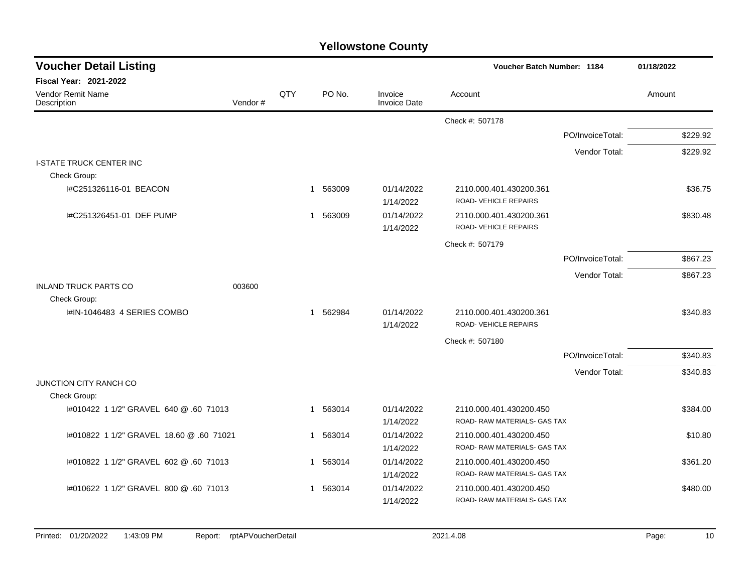| <b>Voucher Detail Listing</b>                          |         |              |          |                         | Voucher Batch Number: 1184                              |                  | 01/18/2022 |
|--------------------------------------------------------|---------|--------------|----------|-------------------------|---------------------------------------------------------|------------------|------------|
| <b>Fiscal Year: 2021-2022</b>                          |         |              |          |                         |                                                         |                  |            |
| <b>Vendor Remit Name</b><br>Description                | Vendor# | QTY          | PO No.   | Invoice<br>Invoice Date | Account                                                 |                  | Amount     |
|                                                        |         |              |          |                         | Check #: 507178                                         |                  |            |
|                                                        |         |              |          |                         |                                                         | PO/InvoiceTotal: | \$229.92   |
|                                                        |         |              |          |                         |                                                         | Vendor Total:    | \$229.92   |
| <b>I-STATE TRUCK CENTER INC</b><br>Check Group:        |         |              |          |                         |                                                         |                  |            |
| I#C251326116-01 BEACON                                 |         |              | 1 563009 | 01/14/2022<br>1/14/2022 | 2110.000.401.430200.361<br>ROAD-VEHICLE REPAIRS         |                  | \$36.75    |
| I#C251326451-01 DEF PUMP                               |         | $\mathbf{1}$ | 563009   | 01/14/2022<br>1/14/2022 | 2110.000.401.430200.361<br>ROAD-VEHICLE REPAIRS         |                  | \$830.48   |
|                                                        |         |              |          |                         | Check #: 507179                                         |                  |            |
|                                                        |         |              |          |                         |                                                         | PO/InvoiceTotal: | \$867.23   |
|                                                        |         |              |          |                         |                                                         | Vendor Total:    | \$867.23   |
| <b>INLAND TRUCK PARTS CO</b><br>Check Group:           | 003600  |              |          |                         |                                                         |                  |            |
| I#IN-1046483 4 SERIES COMBO                            |         |              | 1 562984 | 01/14/2022<br>1/14/2022 | 2110.000.401.430200.361<br>ROAD-VEHICLE REPAIRS         |                  | \$340.83   |
|                                                        |         |              |          |                         | Check #: 507180                                         |                  |            |
|                                                        |         |              |          |                         |                                                         | PO/InvoiceTotal: | \$340.83   |
|                                                        |         |              |          |                         |                                                         | Vendor Total:    | \$340.83   |
| <b>JUNCTION CITY RANCH CO</b>                          |         |              |          |                         |                                                         |                  |            |
| Check Group:<br>1#010422 1 1/2" GRAVEL 640 @ .60 71013 |         | $\mathbf{1}$ | 563014   | 01/14/2022              | 2110.000.401.430200.450                                 |                  |            |
|                                                        |         |              |          | 1/14/2022               | ROAD-RAW MATERIALS-GAS TAX                              |                  | \$384.00   |
| I#010822 1 1/2" GRAVEL 18.60 @ .60 71021               |         |              | 1 563014 | 01/14/2022<br>1/14/2022 | 2110.000.401.430200.450<br>ROAD-RAW MATERIALS- GAS TAX  |                  | \$10.80    |
| I#010822 1 1/2" GRAVEL 602 @ .60 71013                 |         | $\mathbf 1$  | 563014   | 01/14/2022<br>1/14/2022 | 2110.000.401.430200.450<br>ROAD- RAW MATERIALS- GAS TAX |                  | \$361.20   |
| 1#010622 1 1/2" GRAVEL 800 @ .60 71013                 |         | $\mathbf 1$  | 563014   | 01/14/2022<br>1/14/2022 | 2110.000.401.430200.450<br>ROAD-RAW MATERIALS-GAS TAX   |                  | \$480.00   |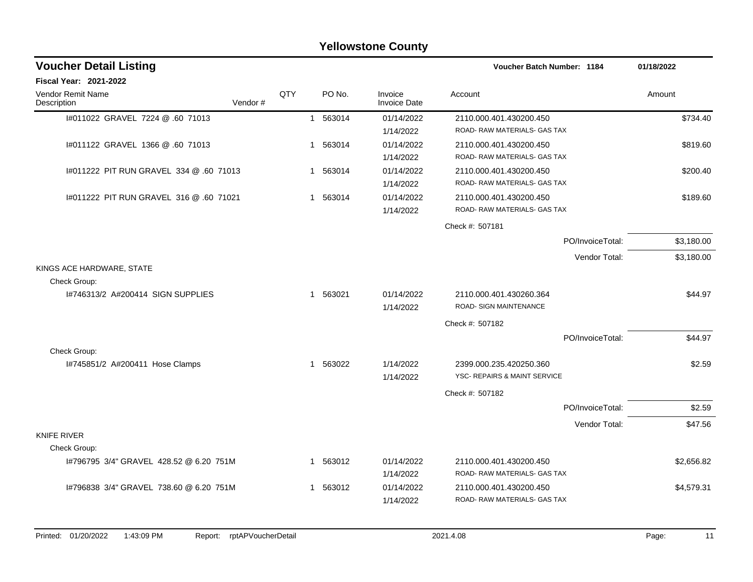|                                           |         |     |          | <b>Yellowstone County</b>      |                                                         |            |
|-------------------------------------------|---------|-----|----------|--------------------------------|---------------------------------------------------------|------------|
| <b>Voucher Detail Listing</b>             |         |     |          |                                | <b>Voucher Batch Number: 1184</b>                       | 01/18/2022 |
| <b>Fiscal Year: 2021-2022</b>             |         |     |          |                                |                                                         |            |
| Vendor Remit Name<br>Description          | Vendor# | QTY | PO No.   | Invoice<br><b>Invoice Date</b> | Account                                                 | Amount     |
| 1#011022 GRAVEL 7224 @ .60 71013          |         |     | 1 563014 | 01/14/2022<br>1/14/2022        | 2110.000.401.430200.450<br>ROAD-RAW MATERIALS- GAS TAX  | \$734.40   |
| 1#011122 GRAVEL 1366 @ .60 71013          |         | 1   | 563014   | 01/14/2022<br>1/14/2022        | 2110.000.401.430200.450<br>ROAD-RAW MATERIALS- GAS TAX  | \$819.60   |
| 1#011222 PIT RUN GRAVEL 334 @ .60 71013   |         |     | 1 563014 | 01/14/2022<br>1/14/2022        | 2110.000.401.430200.450<br>ROAD- RAW MATERIALS- GAS TAX | \$200.40   |
| 1#011222 PIT RUN GRAVEL 316 @ .60 71021   |         |     | 1 563014 | 01/14/2022<br>1/14/2022        | 2110.000.401.430200.450<br>ROAD-RAW MATERIALS- GAS TAX  | \$189.60   |
|                                           |         |     |          |                                | Check #: 507181                                         |            |
|                                           |         |     |          |                                | PO/InvoiceTotal:                                        | \$3,180.00 |
|                                           |         |     |          |                                | Vendor Total:                                           | \$3,180.00 |
| KINGS ACE HARDWARE, STATE<br>Check Group: |         |     |          |                                |                                                         |            |
| 1#746313/2 A#200414 SIGN SUPPLIES         |         |     | 1 563021 | 01/14/2022<br>1/14/2022        | 2110.000.401.430260.364<br>ROAD- SIGN MAINTENANCE       | \$44.97    |
|                                           |         |     |          |                                | Check #: 507182                                         |            |
|                                           |         |     |          |                                | PO/InvoiceTotal:                                        | \$44.97    |
| Check Group:                              |         |     |          |                                |                                                         |            |
| I#745851/2 A#200411 Hose Clamps           |         |     | 1 563022 | 1/14/2022<br>1/14/2022         | 2399.000.235.420250.360<br>YSC- REPAIRS & MAINT SERVICE | \$2.59     |
|                                           |         |     |          |                                | Check #: 507182                                         |            |
|                                           |         |     |          |                                | PO/InvoiceTotal:                                        | \$2.59     |
|                                           |         |     |          |                                | Vendor Total:                                           | \$47.56    |
| <b>KNIFE RIVER</b><br>Check Group:        |         |     |          |                                |                                                         |            |
| I#796795 3/4" GRAVEL 428.52 @ 6.20 751M   |         |     | 1 563012 | 01/14/2022<br>1/14/2022        | 2110.000.401.430200.450<br>ROAD-RAW MATERIALS- GAS TAX  | \$2,656.82 |
| 1#796838 3/4" GRAVEL 738.60 @ 6.20 751M   |         |     | 1 563012 | 01/14/2022<br>1/14/2022        | 2110.000.401.430200.450<br>ROAD-RAW MATERIALS- GAS TAX  | \$4,579.31 |
|                                           |         |     |          |                                |                                                         |            |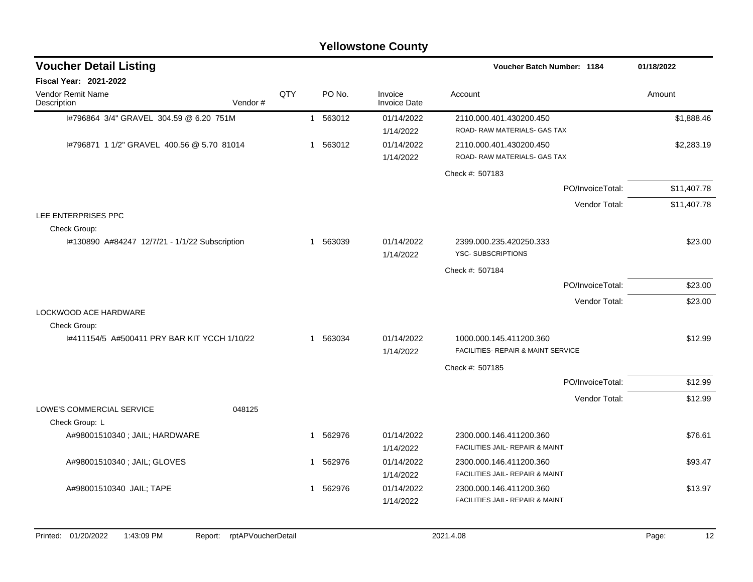|                                                |         |     |             | <b>Yellowstone County</b>      |                                                               |                  |             |
|------------------------------------------------|---------|-----|-------------|--------------------------------|---------------------------------------------------------------|------------------|-------------|
| <b>Voucher Detail Listing</b>                  |         |     |             |                                | <b>Voucher Batch Number: 1184</b>                             |                  | 01/18/2022  |
| <b>Fiscal Year: 2021-2022</b>                  |         |     |             |                                |                                                               |                  |             |
| <b>Vendor Remit Name</b><br>Description        | Vendor# | QTY | PO No.      | Invoice<br><b>Invoice Date</b> | Account                                                       |                  | Amount      |
| 1#796864 3/4" GRAVEL 304.59 @ 6.20 751M        |         |     | 1 563012    | 01/14/2022<br>1/14/2022        | 2110.000.401.430200.450<br>ROAD- RAW MATERIALS- GAS TAX       |                  | \$1,888.46  |
| 1#796871 1 1/2" GRAVEL 400.56 @ 5.70 81014     |         |     | 1 563012    | 01/14/2022<br>1/14/2022        | 2110.000.401.430200.450<br>ROAD-RAW MATERIALS-GAS TAX         |                  | \$2,283.19  |
|                                                |         |     |             |                                | Check #: 507183                                               |                  |             |
|                                                |         |     |             |                                |                                                               | PO/InvoiceTotal: | \$11,407.78 |
|                                                |         |     |             |                                |                                                               | Vendor Total:    | \$11,407.78 |
| LEE ENTERPRISES PPC<br>Check Group:            |         |     |             |                                |                                                               |                  |             |
| I#130890 A#84247 12/7/21 - 1/1/22 Subscription |         |     | 1 563039    | 01/14/2022<br>1/14/2022        | 2399.000.235.420250.333<br><b>YSC-SUBSCRIPTIONS</b>           |                  | \$23.00     |
|                                                |         |     |             |                                | Check #: 507184                                               |                  |             |
|                                                |         |     |             |                                |                                                               | PO/InvoiceTotal: | \$23.00     |
|                                                |         |     |             |                                |                                                               | Vendor Total:    | \$23.00     |
| LOCKWOOD ACE HARDWARE<br>Check Group:          |         |     |             |                                |                                                               |                  |             |
| I#411154/5 A#500411 PRY BAR KIT YCCH 1/10/22   |         |     | 1 563034    | 01/14/2022<br>1/14/2022        | 1000.000.145.411200.360<br>FACILITIES- REPAIR & MAINT SERVICE |                  | \$12.99     |
|                                                |         |     |             |                                | Check #: 507185                                               |                  |             |
|                                                |         |     |             |                                |                                                               | PO/InvoiceTotal: | \$12.99     |
|                                                |         |     |             |                                |                                                               | Vendor Total:    | \$12.99     |
| LOWE'S COMMERCIAL SERVICE<br>Check Group: L    | 048125  |     |             |                                |                                                               |                  |             |
| A#98001510340 ; JAIL; HARDWARE                 |         |     | 562976<br>1 | 01/14/2022                     | 2300.000.146.411200.360                                       |                  | \$76.61     |
|                                                |         |     |             | 1/14/2022                      | FACILITIES JAIL- REPAIR & MAINT                               |                  |             |
| A#98001510340 ; JAIL; GLOVES                   |         |     | 562976<br>1 | 01/14/2022                     | 2300.000.146.411200.360                                       |                  | \$93.47     |
|                                                |         |     |             | 1/14/2022                      | FACILITIES JAIL- REPAIR & MAINT                               |                  |             |
| A#98001510340 JAIL; TAPE                       |         |     | 1 562976    | 01/14/2022<br>1/14/2022        | 2300.000.146.411200.360<br>FACILITIES JAIL- REPAIR & MAINT    |                  | \$13.97     |
|                                                |         |     |             |                                |                                                               |                  |             |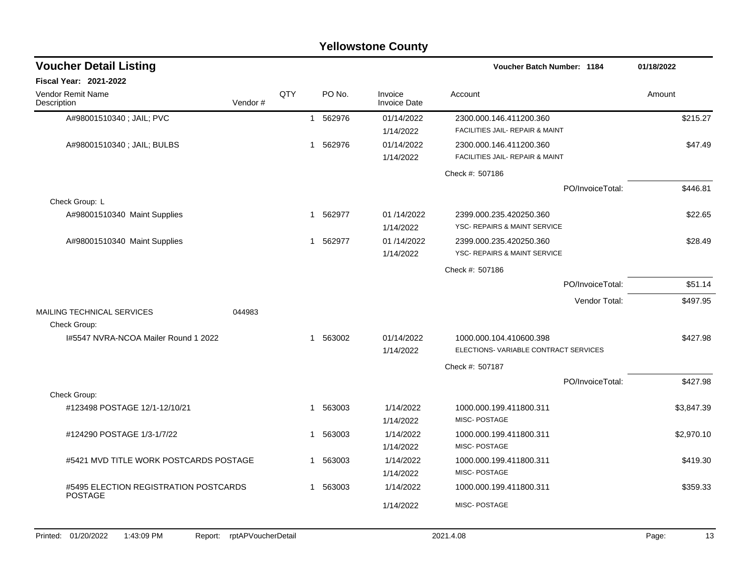| <b>Yellowstone County</b>                               |                            |     |             |          |                                |                                      |             |  |  |  |  |
|---------------------------------------------------------|----------------------------|-----|-------------|----------|--------------------------------|--------------------------------------|-------------|--|--|--|--|
| <b>Voucher Detail Listing</b>                           |                            |     |             |          |                                | Voucher Batch Number: 1184           | 01/18/2022  |  |  |  |  |
| Fiscal Year: 2021-2022                                  |                            |     |             |          |                                |                                      |             |  |  |  |  |
| Vendor Remit Name<br>Description                        | Vendor#                    | QTY |             | PO No.   | Invoice<br><b>Invoice Date</b> | Account                              | Amount      |  |  |  |  |
| A#98001510340; JAIL; PVC                                |                            |     | $\mathbf 1$ | 562976   | 01/14/2022                     | 2300.000.146.411200.360              | \$215.27    |  |  |  |  |
|                                                         |                            |     |             |          | 1/14/2022                      | FACILITIES JAIL- REPAIR & MAINT      |             |  |  |  |  |
| A#98001510340 ; JAIL; BULBS                             |                            |     | 1           | 562976   | 01/14/2022                     | 2300.000.146.411200.360              | \$47.49     |  |  |  |  |
|                                                         |                            |     |             |          | 1/14/2022                      | FACILITIES JAIL- REPAIR & MAINT      |             |  |  |  |  |
|                                                         |                            |     |             |          |                                | Check #: 507186                      |             |  |  |  |  |
|                                                         |                            |     |             |          |                                | PO/InvoiceTotal:                     | \$446.81    |  |  |  |  |
| Check Group: L                                          |                            |     |             |          |                                |                                      |             |  |  |  |  |
| A#98001510340 Maint Supplies                            |                            |     | 1           | 562977   | 01 /14/2022                    | 2399.000.235.420250.360              | \$22.65     |  |  |  |  |
|                                                         |                            |     |             |          | 1/14/2022                      | YSC- REPAIRS & MAINT SERVICE         |             |  |  |  |  |
| A#98001510340 Maint Supplies                            |                            |     | 1           | 562977   | 01 /14/2022                    | 2399.000.235.420250.360              | \$28.49     |  |  |  |  |
|                                                         |                            |     |             |          | 1/14/2022                      | YSC- REPAIRS & MAINT SERVICE         |             |  |  |  |  |
|                                                         |                            |     |             |          |                                | Check #: 507186                      |             |  |  |  |  |
|                                                         |                            |     |             |          |                                | PO/InvoiceTotal:                     | \$51.14     |  |  |  |  |
|                                                         |                            |     |             |          |                                | Vendor Total:                        | \$497.95    |  |  |  |  |
| <b>MAILING TECHNICAL SERVICES</b>                       | 044983                     |     |             |          |                                |                                      |             |  |  |  |  |
| Check Group:                                            |                            |     |             |          |                                |                                      |             |  |  |  |  |
| 1#5547 NVRA-NCOA Mailer Round 1 2022                    |                            |     |             | 1 563002 | 01/14/2022                     | 1000.000.104.410600.398              | \$427.98    |  |  |  |  |
|                                                         |                            |     |             |          | 1/14/2022                      | ELECTIONS-VARIABLE CONTRACT SERVICES |             |  |  |  |  |
|                                                         |                            |     |             |          |                                | Check #: 507187                      |             |  |  |  |  |
|                                                         |                            |     |             |          |                                | PO/InvoiceTotal:                     | \$427.98    |  |  |  |  |
| Check Group:                                            |                            |     |             |          |                                |                                      |             |  |  |  |  |
| #123498 POSTAGE 12/1-12/10/21                           |                            |     | 1           | 563003   | 1/14/2022                      | 1000.000.199.411800.311              | \$3,847.39  |  |  |  |  |
|                                                         |                            |     |             |          | 1/14/2022                      | MISC-POSTAGE                         |             |  |  |  |  |
| #124290 POSTAGE 1/3-1/7/22                              |                            |     | -1          | 563003   | 1/14/2022                      | 1000.000.199.411800.311              | \$2,970.10  |  |  |  |  |
|                                                         |                            |     |             |          | 1/14/2022                      | MISC-POSTAGE                         |             |  |  |  |  |
| #5421 MVD TITLE WORK POSTCARDS POSTAGE                  |                            |     |             | 1 563003 | 1/14/2022                      | 1000.000.199.411800.311              | \$419.30    |  |  |  |  |
|                                                         |                            |     |             |          | 1/14/2022                      | MISC-POSTAGE                         |             |  |  |  |  |
| #5495 ELECTION REGISTRATION POSTCARDS<br><b>POSTAGE</b> |                            |     |             | 563003   | 1/14/2022                      | 1000.000.199.411800.311              | \$359.33    |  |  |  |  |
|                                                         |                            |     |             |          | 1/14/2022                      | MISC-POSTAGE                         |             |  |  |  |  |
|                                                         |                            |     |             |          |                                |                                      |             |  |  |  |  |
| Printed: 01/20/2022<br>1:43:09 PM                       | Report: rptAPVoucherDetail |     |             |          |                                | 2021.4.08                            | Page:<br>13 |  |  |  |  |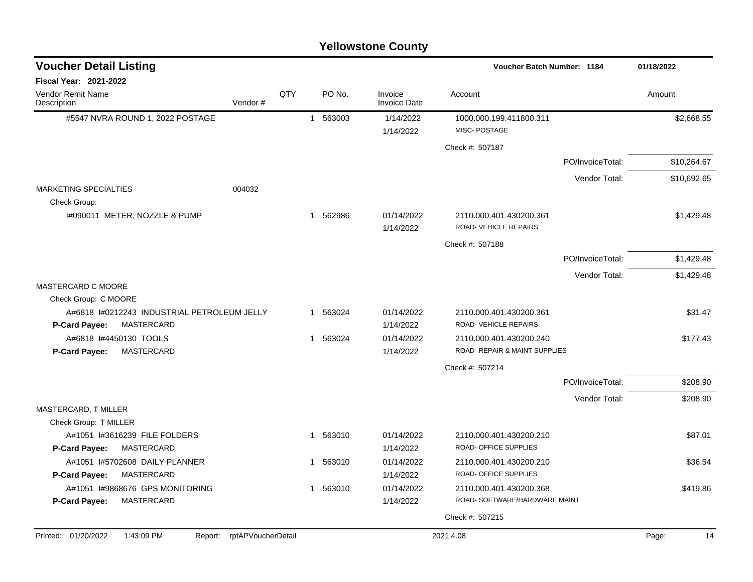| <b>Voucher Detail Listing</b>                                 | Voucher Batch Number: 1184 |     |                        |                                | 01/18/2022                                              |                  |             |
|---------------------------------------------------------------|----------------------------|-----|------------------------|--------------------------------|---------------------------------------------------------|------------------|-------------|
| Fiscal Year: 2021-2022                                        |                            |     |                        |                                |                                                         |                  |             |
| Vendor Remit Name<br>Description                              | Vendor#                    | QTY | PO No.                 | Invoice<br><b>Invoice Date</b> | Account                                                 |                  | Amount      |
| #5547 NVRA ROUND 1, 2022 POSTAGE                              |                            |     | 563003<br>$\mathbf{1}$ | 1/14/2022                      | 1000.000.199.411800.311                                 |                  | \$2,668.55  |
|                                                               |                            |     |                        | 1/14/2022                      | MISC-POSTAGE                                            |                  |             |
|                                                               |                            |     |                        |                                | Check #: 507187                                         |                  |             |
|                                                               |                            |     |                        |                                |                                                         | PO/InvoiceTotal: | \$10,264.67 |
|                                                               |                            |     |                        |                                |                                                         | Vendor Total:    | \$10,692.65 |
| <b>MARKETING SPECIALTIES</b><br>Check Group:                  | 004032                     |     |                        |                                |                                                         |                  |             |
| I#090011 METER, NOZZLE & PUMP                                 |                            |     | 1 562986               | 01/14/2022<br>1/14/2022        | 2110.000.401.430200.361<br>ROAD- VEHICLE REPAIRS        |                  | \$1,429.48  |
|                                                               |                            |     |                        |                                | Check #: 507188                                         |                  |             |
|                                                               |                            |     |                        |                                |                                                         | PO/InvoiceTotal: | \$1,429.48  |
|                                                               |                            |     |                        |                                |                                                         | Vendor Total:    | \$1,429.48  |
| MASTERCARD C MOORE                                            |                            |     |                        |                                |                                                         |                  |             |
| Check Group: C MOORE                                          |                            |     |                        |                                |                                                         |                  |             |
| A#6818 I#0212243 INDUSTRIAL PETROLEUM JELLY                   |                            |     | 1 563024               | 01/14/2022                     | 2110.000.401.430200.361                                 |                  | \$31.47     |
| MASTERCARD<br>P-Card Payee:                                   |                            |     |                        | 1/14/2022                      | ROAD- VEHICLE REPAIRS                                   |                  |             |
| A#6818 I#4450130 TOOLS                                        |                            |     | 1 563024               | 01/14/2022                     | 2110.000.401.430200.240                                 |                  | \$177.43    |
| MASTERCARD<br>P-Card Payee:                                   |                            |     |                        | 1/14/2022                      | ROAD- REPAIR & MAINT SUPPLIES                           |                  |             |
|                                                               |                            |     |                        |                                | Check #: 507214                                         |                  |             |
|                                                               |                            |     |                        |                                |                                                         | PO/InvoiceTotal: | \$208.90    |
|                                                               |                            |     |                        |                                |                                                         | Vendor Total:    | \$208.90    |
| MASTERCARD, T MILLER                                          |                            |     |                        |                                |                                                         |                  |             |
| Check Group: T MILLER                                         |                            |     |                        |                                |                                                         |                  |             |
| A#1051 I#3616239 FILE FOLDERS                                 |                            |     | 1 563010               | 01/14/2022                     | 2110.000.401.430200.210<br><b>ROAD- OFFICE SUPPLIES</b> |                  | \$87.01     |
| P-Card Payee:<br>MASTERCARD                                   |                            |     |                        | 1/14/2022                      |                                                         |                  |             |
| A#1051 I#5702608 DAILY PLANNER<br>P-Card Payee:<br>MASTERCARD |                            |     | 1 563010               | 01/14/2022<br>1/14/2022        | 2110.000.401.430200.210<br>ROAD- OFFICE SUPPLIES        |                  | \$36.54     |
| A#1051 I#9868676 GPS MONITORING                               |                            |     | 1 563010               | 01/14/2022                     | 2110.000.401.430200.368                                 |                  | \$419.86    |
| MASTERCARD<br>P-Card Payee:                                   |                            |     |                        | 1/14/2022                      | ROAD- SOFTWARE/HARDWARE MAINT                           |                  |             |
|                                                               |                            |     |                        |                                | Check #: 507215                                         |                  |             |
|                                                               |                            |     |                        |                                |                                                         |                  |             |
| Printed: 01/20/2022<br>1:43:09 PM<br>Report:                  | rptAPVoucherDetail         |     |                        |                                | 2021.4.08                                               |                  | Page:<br>14 |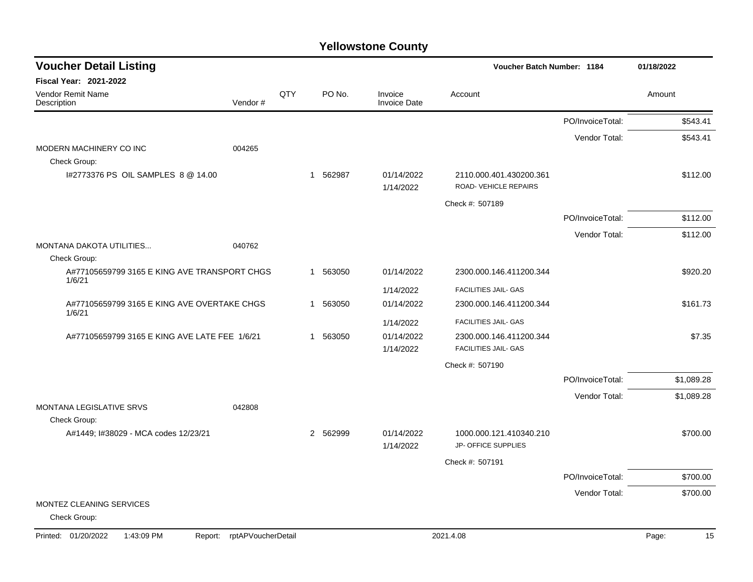| <b>Voucher Detail Listing</b>                          |                    |            |          |                                | Voucher Batch Number: 1184                      |                  | 01/18/2022  |
|--------------------------------------------------------|--------------------|------------|----------|--------------------------------|-------------------------------------------------|------------------|-------------|
| <b>Fiscal Year: 2021-2022</b>                          |                    |            |          |                                |                                                 |                  |             |
| Vendor Remit Name<br>Description                       | Vendor#            | <b>QTY</b> | PO No.   | Invoice<br><b>Invoice Date</b> | Account                                         |                  | Amount      |
|                                                        |                    |            |          |                                |                                                 | PO/InvoiceTotal: | \$543.41    |
|                                                        |                    |            |          |                                |                                                 | Vendor Total:    | \$543.41    |
| MODERN MACHINERY CO INC                                | 004265             |            |          |                                |                                                 |                  |             |
| Check Group:                                           |                    |            |          |                                |                                                 |                  |             |
| 1#2773376 PS OIL SAMPLES 8 @ 14.00                     |                    |            | 1 562987 | 01/14/2022<br>1/14/2022        | 2110.000.401.430200.361<br>ROAD-VEHICLE REPAIRS |                  | \$112.00    |
|                                                        |                    |            |          |                                | Check #: 507189                                 |                  |             |
|                                                        |                    |            |          |                                |                                                 | PO/InvoiceTotal: | \$112.00    |
|                                                        |                    |            |          |                                |                                                 | Vendor Total:    | \$112.00    |
| MONTANA DAKOTA UTILITIES                               | 040762             |            |          |                                |                                                 |                  |             |
| Check Group:                                           |                    |            |          |                                |                                                 |                  |             |
| A#77105659799 3165 E KING AVE TRANSPORT CHGS<br>1/6/21 |                    |            | 1 563050 | 01/14/2022                     | 2300.000.146.411200.344                         |                  | \$920.20    |
|                                                        |                    |            |          | 1/14/2022                      | <b>FACILITIES JAIL- GAS</b>                     |                  |             |
| A#77105659799 3165 E KING AVE OVERTAKE CHGS<br>1/6/21  |                    |            | 1 563050 | 01/14/2022                     | 2300.000.146.411200.344                         |                  | \$161.73    |
|                                                        |                    |            |          | 1/14/2022                      | <b>FACILITIES JAIL- GAS</b>                     |                  |             |
| A#77105659799 3165 E KING AVE LATE FEE 1/6/21          |                    |            | 1 563050 | 01/14/2022                     | 2300.000.146.411200.344                         |                  | \$7.35      |
|                                                        |                    |            |          | 1/14/2022                      | <b>FACILITIES JAIL- GAS</b>                     |                  |             |
|                                                        |                    |            |          |                                | Check #: 507190                                 |                  |             |
|                                                        |                    |            |          |                                |                                                 | PO/InvoiceTotal: | \$1,089.28  |
|                                                        |                    |            |          |                                |                                                 | Vendor Total:    | \$1,089.28  |
| MONTANA LEGISLATIVE SRVS                               | 042808             |            |          |                                |                                                 |                  |             |
| Check Group:<br>A#1449; I#38029 - MCA codes 12/23/21   |                    |            | 2 562999 | 01/14/2022                     | 1000.000.121.410340.210                         |                  | \$700.00    |
|                                                        |                    |            |          | 1/14/2022                      | JP- OFFICE SUPPLIES                             |                  |             |
|                                                        |                    |            |          |                                | Check #: 507191                                 |                  |             |
|                                                        |                    |            |          |                                |                                                 | PO/InvoiceTotal: | \$700.00    |
|                                                        |                    |            |          |                                |                                                 | Vendor Total:    | \$700.00    |
| MONTEZ CLEANING SERVICES                               |                    |            |          |                                |                                                 |                  |             |
| Check Group:                                           |                    |            |          |                                |                                                 |                  |             |
| Printed: 01/20/2022<br>1:43:09 PM<br>Report:           | rptAPVoucherDetail |            |          |                                | 2021.4.08                                       |                  | 15<br>Page: |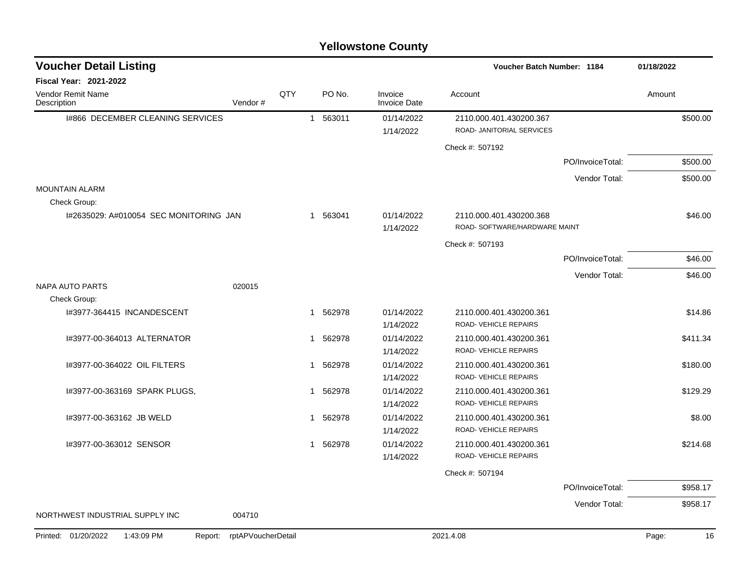| <b>Voucher Detail Listing</b>                |                    |              |          |                                | Voucher Batch Number: 1184                               |                  | 01/18/2022  |
|----------------------------------------------|--------------------|--------------|----------|--------------------------------|----------------------------------------------------------|------------------|-------------|
| <b>Fiscal Year: 2021-2022</b>                |                    |              |          |                                |                                                          |                  |             |
| <b>Vendor Remit Name</b><br>Description      | Vendor#            | QTY          | PO No.   | Invoice<br><b>Invoice Date</b> | Account                                                  |                  | Amount      |
| 1#866 DECEMBER CLEANING SERVICES             |                    |              | 1 563011 | 01/14/2022<br>1/14/2022        | 2110.000.401.430200.367<br>ROAD- JANITORIAL SERVICES     |                  | \$500.00    |
|                                              |                    |              |          |                                | Check #: 507192                                          |                  |             |
|                                              |                    |              |          |                                |                                                          | PO/InvoiceTotal: | \$500.00    |
|                                              |                    |              |          |                                |                                                          | Vendor Total:    | \$500.00    |
| <b>MOUNTAIN ALARM</b><br>Check Group:        |                    |              |          |                                |                                                          |                  |             |
| 1#2635029: A#010054 SEC MONITORING JAN       |                    |              | 1 563041 | 01/14/2022<br>1/14/2022        | 2110.000.401.430200.368<br>ROAD- SOFTWARE/HARDWARE MAINT |                  | \$46.00     |
|                                              |                    |              |          |                                | Check #: 507193                                          |                  |             |
|                                              |                    |              |          |                                |                                                          | PO/InvoiceTotal: | \$46.00     |
|                                              |                    |              |          |                                |                                                          | Vendor Total:    | \$46.00     |
| <b>NAPA AUTO PARTS</b><br>Check Group:       | 020015             |              |          |                                |                                                          |                  |             |
| I#3977-364415 INCANDESCENT                   |                    |              | 1 562978 | 01/14/2022<br>1/14/2022        | 2110.000.401.430200.361<br>ROAD-VEHICLE REPAIRS          |                  | \$14.86     |
| 1#3977-00-364013 ALTERNATOR                  |                    | $\mathbf{1}$ | 562978   | 01/14/2022<br>1/14/2022        | 2110.000.401.430200.361<br>ROAD-VEHICLE REPAIRS          |                  | \$411.34    |
| I#3977-00-364022 OIL FILTERS                 |                    | $\mathbf{1}$ | 562978   | 01/14/2022<br>1/14/2022        | 2110.000.401.430200.361<br>ROAD-VEHICLE REPAIRS          |                  | \$180.00    |
| I#3977-00-363169 SPARK PLUGS,                |                    | $\mathbf 1$  | 562978   | 01/14/2022<br>1/14/2022        | 2110.000.401.430200.361<br>ROAD-VEHICLE REPAIRS          |                  | \$129.29    |
| I#3977-00-363162 JB WELD                     |                    | -1           | 562978   | 01/14/2022<br>1/14/2022        | 2110.000.401.430200.361<br>ROAD-VEHICLE REPAIRS          |                  | \$8.00      |
| I#3977-00-363012 SENSOR                      |                    | $\mathbf{1}$ | 562978   | 01/14/2022<br>1/14/2022        | 2110.000.401.430200.361<br>ROAD- VEHICLE REPAIRS         |                  | \$214.68    |
|                                              |                    |              |          |                                | Check #: 507194                                          |                  |             |
|                                              |                    |              |          |                                |                                                          | PO/InvoiceTotal: | \$958.17    |
|                                              |                    |              |          |                                |                                                          | Vendor Total:    | \$958.17    |
| NORTHWEST INDUSTRIAL SUPPLY INC              | 004710             |              |          |                                |                                                          |                  |             |
| Printed: 01/20/2022<br>1:43:09 PM<br>Report: | rptAPVoucherDetail |              |          |                                | 2021.4.08                                                |                  | 16<br>Page: |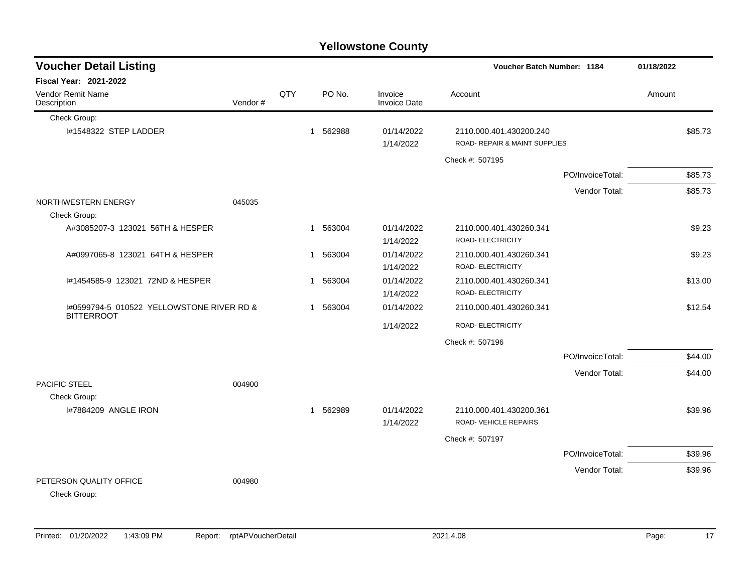| <b>Yellowstone County</b>                                      |         |     |   |          |                                |                                                          |                  |            |         |  |  |  |
|----------------------------------------------------------------|---------|-----|---|----------|--------------------------------|----------------------------------------------------------|------------------|------------|---------|--|--|--|
| <b>Voucher Detail Listing</b>                                  |         |     |   |          |                                | Voucher Batch Number: 1184                               |                  | 01/18/2022 |         |  |  |  |
| <b>Fiscal Year: 2021-2022</b>                                  |         |     |   |          |                                |                                                          |                  |            |         |  |  |  |
| Vendor Remit Name<br>Description                               | Vendor# | QTY |   | PO No.   | Invoice<br><b>Invoice Date</b> | Account                                                  |                  | Amount     |         |  |  |  |
| Check Group:                                                   |         |     |   |          |                                |                                                          |                  |            |         |  |  |  |
| I#1548322 STEP LADDER                                          |         |     | 1 | 562988   | 01/14/2022<br>1/14/2022        | 2110.000.401.430200.240<br>ROAD- REPAIR & MAINT SUPPLIES |                  |            | \$85.73 |  |  |  |
|                                                                |         |     |   |          |                                | Check #: 507195                                          |                  |            |         |  |  |  |
|                                                                |         |     |   |          |                                |                                                          | PO/InvoiceTotal: |            | \$85.73 |  |  |  |
|                                                                |         |     |   |          |                                |                                                          | Vendor Total:    |            | \$85.73 |  |  |  |
| NORTHWESTERN ENERGY<br>Check Group:                            | 045035  |     |   |          |                                |                                                          |                  |            |         |  |  |  |
| A#3085207-3 123021 56TH & HESPER                               |         |     | 1 | 563004   | 01/14/2022<br>1/14/2022        | 2110.000.401.430260.341<br>ROAD- ELECTRICITY             |                  |            | \$9.23  |  |  |  |
| A#0997065-8 123021 64TH & HESPER                               |         |     | 1 | 563004   | 01/14/2022<br>1/14/2022        | 2110.000.401.430260.341<br>ROAD- ELECTRICITY             |                  |            | \$9.23  |  |  |  |
| #1454585-9 123021 72ND & HESPER                                |         |     | 1 | 563004   | 01/14/2022<br>1/14/2022        | 2110.000.401.430260.341<br>ROAD- ELECTRICITY             |                  |            | \$13.00 |  |  |  |
| 1#0599794-5 010522 YELLOWSTONE RIVER RD &<br><b>BITTERROOT</b> |         |     | 1 | 563004   | 01/14/2022                     | 2110.000.401.430260.341                                  |                  |            | \$12.54 |  |  |  |
|                                                                |         |     |   |          | 1/14/2022                      | ROAD- ELECTRICITY                                        |                  |            |         |  |  |  |
|                                                                |         |     |   |          |                                | Check #: 507196                                          |                  |            |         |  |  |  |
|                                                                |         |     |   |          |                                |                                                          | PO/InvoiceTotal: |            | \$44.00 |  |  |  |
| PACIFIC STEEL                                                  | 004900  |     |   |          |                                |                                                          | Vendor Total:    |            | \$44.00 |  |  |  |
| Check Group:<br>I#7884209 ANGLE IRON                           |         |     |   | 1 562989 | 01/14/2022<br>1/14/2022        | 2110.000.401.430200.361<br>ROAD-VEHICLE REPAIRS          |                  |            | \$39.96 |  |  |  |
|                                                                |         |     |   |          |                                | Check #: 507197                                          |                  |            |         |  |  |  |
|                                                                |         |     |   |          |                                |                                                          | PO/InvoiceTotal: |            | \$39.96 |  |  |  |
|                                                                |         |     |   |          |                                |                                                          | Vendor Total:    |            | \$39.96 |  |  |  |
| PETERSON QUALITY OFFICE<br>Check Group:                        | 004980  |     |   |          |                                |                                                          |                  |            |         |  |  |  |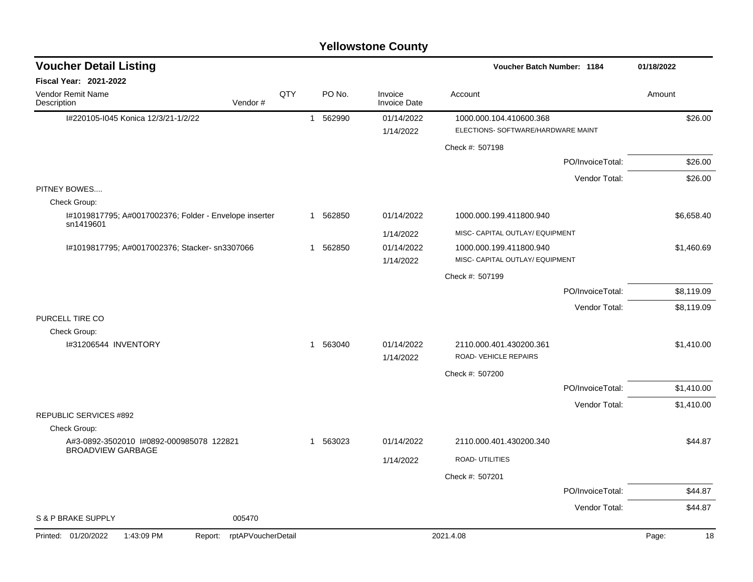| <b>Voucher Detail Listing</b>                                       |     |          |                                | Voucher Batch Number: 1184                                    |                  | 01/18/2022  |
|---------------------------------------------------------------------|-----|----------|--------------------------------|---------------------------------------------------------------|------------------|-------------|
| Fiscal Year: 2021-2022                                              |     |          |                                |                                                               |                  |             |
| <b>Vendor Remit Name</b><br>Vendor#<br>Description                  | QTY | PO No.   | Invoice<br><b>Invoice Date</b> | Account                                                       |                  | Amount      |
| I#220105-I045 Konica 12/3/21-1/2/22                                 |     | 1 562990 | 01/14/2022<br>1/14/2022        | 1000.000.104.410600.368<br>ELECTIONS- SOFTWARE/HARDWARE MAINT |                  | \$26.00     |
|                                                                     |     |          |                                | Check #: 507198                                               |                  |             |
|                                                                     |     |          |                                |                                                               | PO/InvoiceTotal: | \$26.00     |
|                                                                     |     |          |                                |                                                               | Vendor Total:    | \$26.00     |
| PITNEY BOWES<br>Check Group:                                        |     |          |                                |                                                               |                  |             |
| I#1019817795; A#0017002376; Folder - Envelope inserter<br>sn1419601 |     | 1 562850 | 01/14/2022                     | 1000.000.199.411800.940                                       |                  | \$6,658.40  |
|                                                                     |     |          | 1/14/2022                      | MISC- CAPITAL OUTLAY/ EQUIPMENT                               |                  |             |
| l#1019817795; A#0017002376; Stacker- sn3307066                      |     | 1 562850 | 01/14/2022<br>1/14/2022        | 1000.000.199.411800.940<br>MISC- CAPITAL OUTLAY/ EQUIPMENT    |                  | \$1,460.69  |
|                                                                     |     |          |                                | Check #: 507199                                               |                  |             |
|                                                                     |     |          |                                |                                                               | PO/InvoiceTotal: | \$8,119.09  |
|                                                                     |     |          |                                |                                                               | Vendor Total:    | \$8,119.09  |
| PURCELL TIRE CO                                                     |     |          |                                |                                                               |                  |             |
| Check Group:                                                        |     |          |                                |                                                               |                  |             |
| I#31206544 INVENTORY                                                |     | 1 563040 | 01/14/2022<br>1/14/2022        | 2110.000.401.430200.361<br>ROAD-VEHICLE REPAIRS               |                  | \$1,410.00  |
|                                                                     |     |          |                                | Check #: 507200                                               |                  |             |
|                                                                     |     |          |                                |                                                               | PO/InvoiceTotal: | \$1,410.00  |
|                                                                     |     |          |                                |                                                               | Vendor Total:    | \$1,410.00  |
| REPUBLIC SERVICES #892                                              |     |          |                                |                                                               |                  |             |
| Check Group:<br>A#3-0892-3502010 1#0892-000985078 122821            |     | 1 563023 | 01/14/2022                     | 2110.000.401.430200.340                                       |                  | \$44.87     |
| <b>BROADVIEW GARBAGE</b>                                            |     |          |                                | ROAD- UTILITIES                                               |                  |             |
|                                                                     |     |          | 1/14/2022                      |                                                               |                  |             |
|                                                                     |     |          |                                | Check #: 507201                                               |                  |             |
|                                                                     |     |          |                                |                                                               | PO/InvoiceTotal: | \$44.87     |
| S & P BRAKE SUPPLY<br>005470                                        |     |          |                                |                                                               | Vendor Total:    | \$44.87     |
| 1:43:09 PM<br>rptAPVoucherDetail<br>Printed: 01/20/2022<br>Report:  |     |          |                                | 2021.4.08                                                     |                  | Page:<br>18 |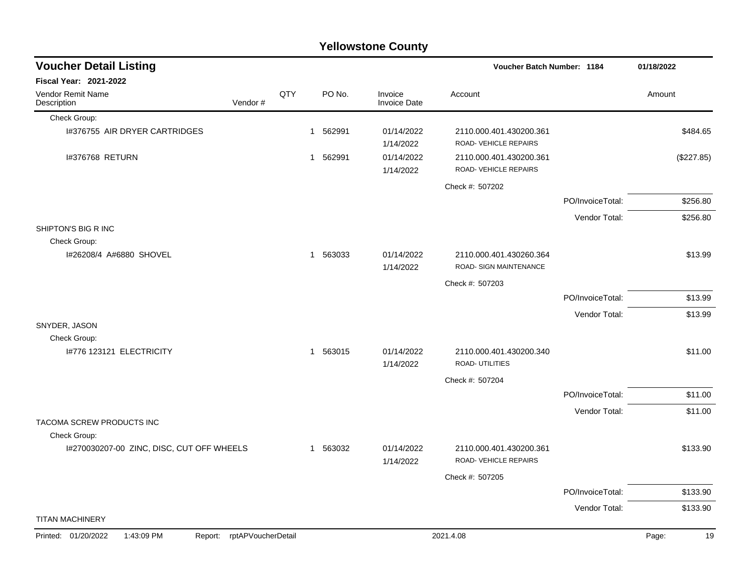| <b>Voucher Detail Listing</b>                |                    |     |          |                                | Voucher Batch Number: 1184                        |                  | 01/18/2022  |
|----------------------------------------------|--------------------|-----|----------|--------------------------------|---------------------------------------------------|------------------|-------------|
| <b>Fiscal Year: 2021-2022</b>                |                    |     |          |                                |                                                   |                  |             |
| Vendor Remit Name<br>Description             | Vendor#            | QTY | PO No.   | Invoice<br><b>Invoice Date</b> | Account                                           |                  | Amount      |
| Check Group:                                 |                    |     |          |                                |                                                   |                  |             |
| 1#376755 AIR DRYER CARTRIDGES                |                    |     | 1 562991 | 01/14/2022<br>1/14/2022        | 2110.000.401.430200.361<br>ROAD-VEHICLE REPAIRS   |                  | \$484.65    |
| I#376768 RETURN                              |                    |     | 1 562991 | 01/14/2022<br>1/14/2022        | 2110.000.401.430200.361<br>ROAD-VEHICLE REPAIRS   |                  | (\$227.85)  |
|                                              |                    |     |          |                                | Check #: 507202                                   |                  |             |
|                                              |                    |     |          |                                |                                                   | PO/InvoiceTotal: | \$256.80    |
|                                              |                    |     |          |                                |                                                   | Vendor Total:    | \$256.80    |
| SHIPTON'S BIG R INC                          |                    |     |          |                                |                                                   |                  |             |
| Check Group:                                 |                    |     |          |                                |                                                   |                  |             |
| I#26208/4 A#6880 SHOVEL                      |                    |     | 1 563033 | 01/14/2022<br>1/14/2022        | 2110.000.401.430260.364<br>ROAD- SIGN MAINTENANCE |                  | \$13.99     |
|                                              |                    |     |          |                                | Check #: 507203                                   |                  |             |
|                                              |                    |     |          |                                |                                                   | PO/InvoiceTotal: | \$13.99     |
|                                              |                    |     |          |                                |                                                   | Vendor Total:    | \$13.99     |
| SNYDER, JASON<br>Check Group:                |                    |     |          |                                |                                                   |                  |             |
| I#776 123121 ELECTRICITY                     |                    |     | 1 563015 | 01/14/2022<br>1/14/2022        | 2110.000.401.430200.340<br><b>ROAD-UTILITIES</b>  |                  | \$11.00     |
|                                              |                    |     |          |                                | Check #: 507204                                   |                  |             |
|                                              |                    |     |          |                                |                                                   | PO/InvoiceTotal: | \$11.00     |
|                                              |                    |     |          |                                |                                                   | Vendor Total:    | \$11.00     |
| TACOMA SCREW PRODUCTS INC<br>Check Group:    |                    |     |          |                                |                                                   |                  |             |
| I#270030207-00 ZINC, DISC, CUT OFF WHEELS    |                    |     | 1 563032 | 01/14/2022<br>1/14/2022        | 2110.000.401.430200.361<br>ROAD-VEHICLE REPAIRS   |                  | \$133.90    |
|                                              |                    |     |          |                                | Check #: 507205                                   |                  |             |
|                                              |                    |     |          |                                |                                                   | PO/InvoiceTotal: | \$133.90    |
|                                              |                    |     |          |                                |                                                   | Vendor Total:    | \$133.90    |
| <b>TITAN MACHINERY</b>                       |                    |     |          |                                |                                                   |                  |             |
| Printed: 01/20/2022<br>1:43:09 PM<br>Report: | rptAPVoucherDetail |     |          |                                | 2021.4.08                                         |                  | Page:<br>19 |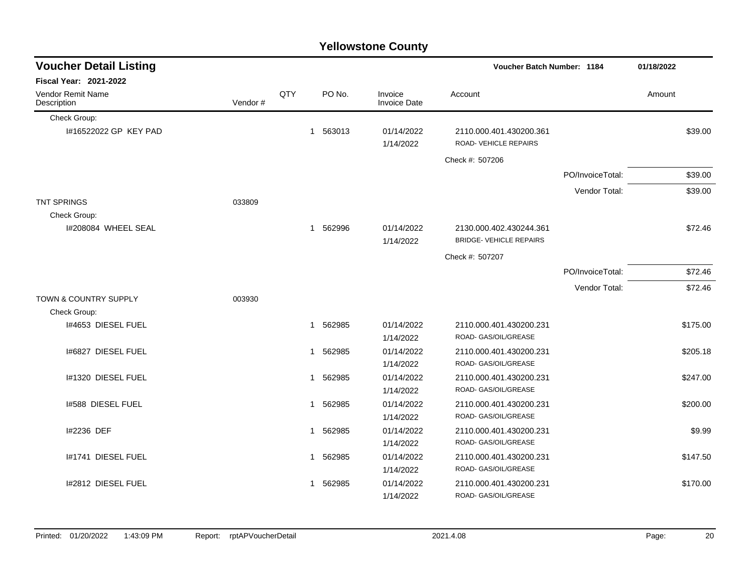|                                  |         |     |             | ו סווטאסנטווס טטעוונץ          |                                                 |                  |            |
|----------------------------------|---------|-----|-------------|--------------------------------|-------------------------------------------------|------------------|------------|
| <b>Voucher Detail Listing</b>    |         |     |             |                                | <b>Voucher Batch Number: 1184</b>               |                  | 01/18/2022 |
| <b>Fiscal Year: 2021-2022</b>    |         |     |             |                                |                                                 |                  |            |
| Vendor Remit Name<br>Description | Vendor# | QTY | PO No.      | Invoice<br><b>Invoice Date</b> | Account                                         |                  | Amount     |
| Check Group:                     |         |     |             |                                |                                                 |                  |            |
| 1#16522022 GP KEY PAD            |         |     | 1 563013    | 01/14/2022<br>1/14/2022        | 2110.000.401.430200.361<br>ROAD-VEHICLE REPAIRS |                  | \$39.00    |
|                                  |         |     |             |                                | Check #: 507206                                 |                  |            |
|                                  |         |     |             |                                |                                                 | PO/InvoiceTotal: | \$39.00    |
|                                  |         |     |             |                                |                                                 | Vendor Total:    | \$39.00    |
| <b>TNT SPRINGS</b>               | 033809  |     |             |                                |                                                 |                  |            |
| Check Group:                     |         |     |             |                                |                                                 |                  |            |
| I#208084 WHEEL SEAL              |         |     | 562996<br>1 | 01/14/2022                     | 2130.000.402.430244.361                         |                  | \$72.46    |
|                                  |         |     |             | 1/14/2022                      | <b>BRIDGE- VEHICLE REPAIRS</b>                  |                  |            |
|                                  |         |     |             |                                | Check #: 507207                                 |                  |            |
|                                  |         |     |             |                                |                                                 | PO/InvoiceTotal: | \$72.46    |
|                                  |         |     |             |                                |                                                 | Vendor Total:    | \$72.46    |
| <b>TOWN &amp; COUNTRY SUPPLY</b> | 003930  |     |             |                                |                                                 |                  |            |
| Check Group:                     |         |     |             |                                |                                                 |                  |            |
| I#4653 DIESEL FUEL               |         |     | 562985<br>1 | 01/14/2022                     | 2110.000.401.430200.231                         |                  | \$175.00   |
|                                  |         |     |             | 1/14/2022                      | ROAD- GAS/OIL/GREASE                            |                  |            |
| 1#6827 DIESEL FUEL               |         |     | 1 562985    | 01/14/2022                     | 2110.000.401.430200.231                         |                  | \$205.18   |
|                                  |         |     |             | 1/14/2022                      | ROAD- GAS/OIL/GREASE                            |                  |            |
| I#1320 DIESEL FUEL               |         |     | 562985<br>1 | 01/14/2022                     | 2110.000.401.430200.231                         |                  | \$247.00   |
|                                  |         |     |             | 1/14/2022                      | ROAD- GAS/OIL/GREASE                            |                  |            |
| 1#588 DIESEL FUEL                |         |     | 562985<br>1 | 01/14/2022                     | 2110.000.401.430200.231                         |                  | \$200.00   |
|                                  |         |     |             | 1/14/2022                      | ROAD- GAS/OIL/GREASE                            |                  |            |
| I#2236 DEF                       |         |     | 562985<br>1 | 01/14/2022                     | 2110.000.401.430200.231                         |                  | \$9.99     |
|                                  |         |     |             | 1/14/2022                      | ROAD- GAS/OIL/GREASE                            |                  |            |
| I#1741 DIESEL FUEL               |         |     | 562985<br>1 | 01/14/2022                     | 2110.000.401.430200.231                         |                  | \$147.50   |
|                                  |         |     |             | 1/14/2022                      | ROAD- GAS/OIL/GREASE                            |                  |            |
| I#2812 DIESEL FUEL               |         |     | 562985<br>1 | 01/14/2022                     | 2110.000.401.430200.231                         |                  | \$170.00   |
|                                  |         |     |             | 1/14/2022                      | ROAD- GAS/OIL/GREASE                            |                  |            |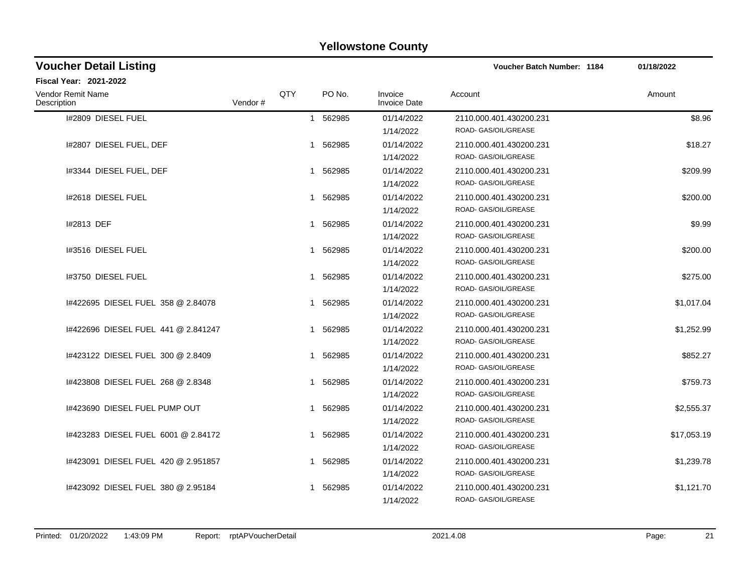| <b>Voucher Detail Listing</b>       |         |     |             | <b>Voucher Batch Number: 1184</b> | 01/18/2022                                      |             |
|-------------------------------------|---------|-----|-------------|-----------------------------------|-------------------------------------------------|-------------|
| Fiscal Year: 2021-2022              |         |     |             |                                   |                                                 |             |
| Vendor Remit Name<br>Description    | Vendor# | QTY | PO No.      | Invoice<br><b>Invoice Date</b>    | Account                                         | Amount      |
| I#2809 DIESEL FUEL                  |         |     | 1 562985    | 01/14/2022<br>1/14/2022           | 2110.000.401.430200.231<br>ROAD- GAS/OIL/GREASE | \$8.96      |
| I#2807 DIESEL FUEL, DEF             |         |     | 1 562985    | 01/14/2022<br>1/14/2022           | 2110.000.401.430200.231<br>ROAD- GAS/OIL/GREASE | \$18.27     |
| 1#3344 DIESEL FUEL, DEF             |         |     | 562985<br>1 | 01/14/2022<br>1/14/2022           | 2110.000.401.430200.231<br>ROAD- GAS/OIL/GREASE | \$209.99    |
| 1#2618 DIESEL FUEL                  |         |     | 562985<br>1 | 01/14/2022<br>1/14/2022           | 2110.000.401.430200.231<br>ROAD- GAS/OIL/GREASE | \$200.00    |
| I#2813 DEF                          |         |     | 1 562985    | 01/14/2022<br>1/14/2022           | 2110.000.401.430200.231<br>ROAD- GAS/OIL/GREASE | \$9.99      |
| 1#3516 DIESEL FUEL                  |         |     | 562985<br>1 | 01/14/2022<br>1/14/2022           | 2110.000.401.430200.231<br>ROAD- GAS/OIL/GREASE | \$200.00    |
| 1#3750 DIESEL FUEL                  |         |     | 1 562985    | 01/14/2022<br>1/14/2022           | 2110.000.401.430200.231<br>ROAD- GAS/OIL/GREASE | \$275.00    |
| 1#422695 DIESEL FUEL 358 @ 2.84078  |         |     | 1 562985    | 01/14/2022<br>1/14/2022           | 2110.000.401.430200.231<br>ROAD- GAS/OIL/GREASE | \$1,017.04  |
| 1#422696 DIESEL FUEL 441 @ 2.841247 |         |     | 1 562985    | 01/14/2022<br>1/14/2022           | 2110.000.401.430200.231<br>ROAD- GAS/OIL/GREASE | \$1,252.99  |
| 1#423122 DIESEL FUEL 300 @ 2.8409   |         |     | 562985<br>1 | 01/14/2022<br>1/14/2022           | 2110.000.401.430200.231<br>ROAD- GAS/OIL/GREASE | \$852.27    |
| I#423808 DIESEL FUEL 268 @ 2.8348   |         |     | 562985<br>1 | 01/14/2022<br>1/14/2022           | 2110.000.401.430200.231<br>ROAD- GAS/OIL/GREASE | \$759.73    |
| I#423690 DIESEL FUEL PUMP OUT       |         |     | 1 562985    | 01/14/2022<br>1/14/2022           | 2110.000.401.430200.231<br>ROAD- GAS/OIL/GREASE | \$2,555.37  |
| I#423283 DIESEL FUEL 6001 @ 2.84172 |         |     | 562985<br>1 | 01/14/2022<br>1/14/2022           | 2110.000.401.430200.231<br>ROAD- GAS/OIL/GREASE | \$17,053.19 |
| 1#423091 DIESEL FUEL 420 @ 2.951857 |         |     | 1 562985    | 01/14/2022<br>1/14/2022           | 2110.000.401.430200.231<br>ROAD- GAS/OIL/GREASE | \$1,239.78  |
| 1#423092 DIESEL FUEL 380 @ 2.95184  |         |     | 562985<br>1 | 01/14/2022<br>1/14/2022           | 2110.000.401.430200.231<br>ROAD- GAS/OIL/GREASE | \$1,121.70  |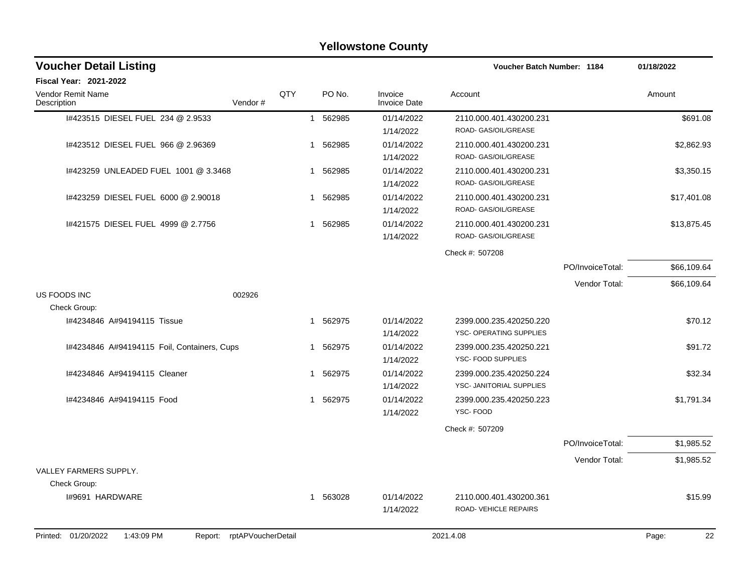|                                              |                    |     |             | I CIIOWSLUIIC OUUILY           |                            |                  |             |
|----------------------------------------------|--------------------|-----|-------------|--------------------------------|----------------------------|------------------|-------------|
| <b>Voucher Detail Listing</b>                |                    |     |             |                                | Voucher Batch Number: 1184 |                  | 01/18/2022  |
| Fiscal Year: 2021-2022                       |                    |     |             |                                |                            |                  |             |
| Vendor Remit Name<br>Description             | Vendor#            | QTY | PO No.      | Invoice<br><b>Invoice Date</b> | Account                    |                  | Amount      |
| 1#423515 DIESEL FUEL 234 @ 2.9533            |                    |     | 562985<br>1 | 01/14/2022                     | 2110.000.401.430200.231    |                  | \$691.08    |
|                                              |                    |     |             | 1/14/2022                      | ROAD- GAS/OIL/GREASE       |                  |             |
| I#423512 DIESEL FUEL 966 @ 2.96369           |                    |     | 562985<br>1 | 01/14/2022                     | 2110.000.401.430200.231    |                  | \$2,862.93  |
|                                              |                    |     |             | 1/14/2022                      | ROAD- GAS/OIL/GREASE       |                  |             |
| I#423259 UNLEADED FUEL 1001 @ 3.3468         |                    |     | 562985<br>1 | 01/14/2022                     | 2110.000.401.430200.231    |                  | \$3,350.15  |
|                                              |                    |     |             | 1/14/2022                      | ROAD- GAS/OIL/GREASE       |                  |             |
| 1#423259 DIESEL FUEL 6000 @ 2.90018          |                    |     | 562985<br>1 | 01/14/2022                     | 2110.000.401.430200.231    |                  | \$17,401.08 |
|                                              |                    |     |             | 1/14/2022                      | ROAD- GAS/OIL/GREASE       |                  |             |
| 1#421575 DIESEL FUEL 4999 @ 2.7756           |                    |     | 562985<br>1 | 01/14/2022                     | 2110.000.401.430200.231    |                  | \$13,875.45 |
|                                              |                    |     |             | 1/14/2022                      | ROAD- GAS/OIL/GREASE       |                  |             |
|                                              |                    |     |             |                                | Check #: 507208            |                  |             |
|                                              |                    |     |             |                                |                            | PO/InvoiceTotal: | \$66,109.64 |
|                                              |                    |     |             |                                |                            | Vendor Total:    | \$66,109.64 |
| US FOODS INC                                 | 002926             |     |             |                                |                            |                  |             |
| Check Group:                                 |                    |     |             |                                |                            |                  |             |
| I#4234846 A#94194115 Tissue                  |                    |     | 562975<br>1 | 01/14/2022                     | 2399.000.235.420250.220    |                  | \$70.12     |
|                                              |                    |     |             | 1/14/2022                      | YSC- OPERATING SUPPLIES    |                  |             |
| I#4234846 A#94194115 Foil, Containers, Cups  |                    |     | 562975<br>1 | 01/14/2022                     | 2399.000.235.420250.221    |                  | \$91.72     |
|                                              |                    |     |             | 1/14/2022                      | YSC- FOOD SUPPLIES         |                  |             |
| 1#4234846 A#94194115 Cleaner                 |                    |     | 562975<br>1 | 01/14/2022                     | 2399.000.235.420250.224    |                  | \$32.34     |
|                                              |                    |     |             | 1/14/2022                      | YSC- JANITORIAL SUPPLIES   |                  |             |
| I#4234846 A#94194115 Food                    |                    |     | 562975<br>1 | 01/14/2022                     | 2399.000.235.420250.223    |                  | \$1,791.34  |
|                                              |                    |     |             | 1/14/2022                      | YSC-FOOD                   |                  |             |
|                                              |                    |     |             |                                | Check #: 507209            |                  |             |
|                                              |                    |     |             |                                |                            | PO/InvoiceTotal: | \$1,985.52  |
|                                              |                    |     |             |                                |                            | Vendor Total:    | \$1,985.52  |
| VALLEY FARMERS SUPPLY.                       |                    |     |             |                                |                            |                  |             |
| Check Group:                                 |                    |     |             |                                |                            |                  |             |
| I#9691 HARDWARE                              |                    |     | 1 563028    | 01/14/2022                     | 2110.000.401.430200.361    |                  | \$15.99     |
|                                              |                    |     |             | 1/14/2022                      | ROAD-VEHICLE REPAIRS       |                  |             |
|                                              |                    |     |             |                                |                            |                  |             |
| Printed: 01/20/2022<br>1:43:09 PM<br>Report: | rptAPVoucherDetail |     |             |                                | 2021.4.08                  |                  | 22<br>Page: |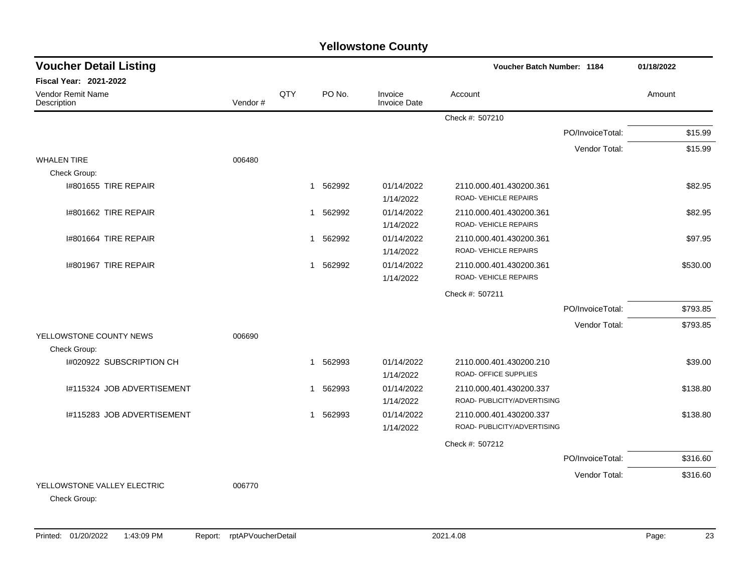| <b>Voucher Detail Listing</b>               |         |     |             |                                | <b>Voucher Batch Number: 1184</b> |                  | 01/18/2022 |
|---------------------------------------------|---------|-----|-------------|--------------------------------|-----------------------------------|------------------|------------|
| <b>Fiscal Year: 2021-2022</b>               |         |     |             |                                |                                   |                  |            |
| <b>Vendor Remit Name</b><br>Description     | Vendor# | QTY | PO No.      | Invoice<br><b>Invoice Date</b> | Account                           |                  | Amount     |
|                                             |         |     |             |                                | Check #: 507210                   |                  |            |
|                                             |         |     |             |                                |                                   | PO/InvoiceTotal: | \$15.99    |
|                                             |         |     |             |                                |                                   | Vendor Total:    | \$15.99    |
| <b>WHALEN TIRE</b>                          | 006480  |     |             |                                |                                   |                  |            |
| Check Group:                                |         |     |             |                                |                                   |                  |            |
| 1#801655 TIRE REPAIR                        |         |     | 562992<br>1 | 01/14/2022                     | 2110.000.401.430200.361           |                  | \$82.95    |
|                                             |         |     |             | 1/14/2022                      | ROAD-VEHICLE REPAIRS              |                  |            |
| I#801662 TIRE REPAIR                        |         |     | 562992<br>1 | 01/14/2022                     | 2110.000.401.430200.361           |                  | \$82.95    |
|                                             |         |     |             | 1/14/2022                      | ROAD-VEHICLE REPAIRS              |                  |            |
| 1#801664 TIRE REPAIR                        |         |     | 562992<br>1 | 01/14/2022                     | 2110.000.401.430200.361           |                  | \$97.95    |
|                                             |         |     |             | 1/14/2022                      | ROAD-VEHICLE REPAIRS              |                  |            |
| I#801967 TIRE REPAIR                        |         |     | 562992<br>1 | 01/14/2022                     | 2110.000.401.430200.361           |                  | \$530.00   |
|                                             |         |     |             | 1/14/2022                      | ROAD-VEHICLE REPAIRS              |                  |            |
|                                             |         |     |             |                                | Check #: 507211                   |                  |            |
|                                             |         |     |             |                                |                                   | PO/InvoiceTotal: | \$793.85   |
|                                             |         |     |             |                                |                                   | Vendor Total:    | \$793.85   |
| YELLOWSTONE COUNTY NEWS                     | 006690  |     |             |                                |                                   |                  |            |
| Check Group:                                |         |     |             |                                |                                   |                  |            |
| I#020922 SUBSCRIPTION CH                    |         |     | 562993<br>1 | 01/14/2022                     | 2110.000.401.430200.210           |                  | \$39.00    |
|                                             |         |     |             | 1/14/2022                      | ROAD- OFFICE SUPPLIES             |                  |            |
| I#115324 JOB ADVERTISEMENT                  |         |     | 562993<br>1 | 01/14/2022                     | 2110.000.401.430200.337           |                  | \$138.80   |
|                                             |         |     |             | 1/14/2022                      | ROAD- PUBLICITY/ADVERTISING       |                  |            |
| I#115283 JOB ADVERTISEMENT                  |         |     | 562993<br>1 | 01/14/2022                     | 2110.000.401.430200.337           |                  | \$138.80   |
|                                             |         |     |             | 1/14/2022                      | ROAD- PUBLICITY/ADVERTISING       |                  |            |
|                                             |         |     |             |                                | Check #: 507212                   |                  |            |
|                                             |         |     |             |                                |                                   | PO/InvoiceTotal: | \$316.60   |
|                                             |         |     |             |                                |                                   | Vendor Total:    | \$316.60   |
| YELLOWSTONE VALLEY ELECTRIC<br>Check Group: | 006770  |     |             |                                |                                   |                  |            |